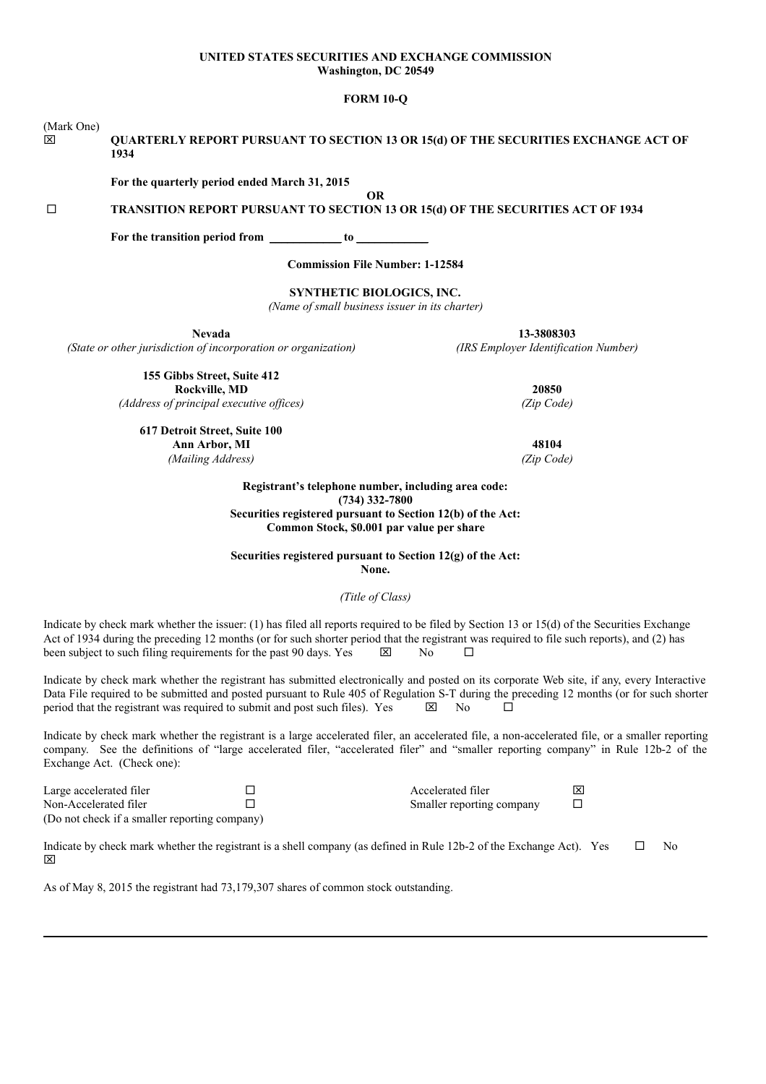#### **UNITED STATES SECURITIES AND EXCHANGE COMMISSION Washington, DC 20549**

# **FORM 10-Q**

<span id="page-0-0"></span>(Mark One)

x **QUARTERLY REPORT PURSUANT TO SECTION 13 OR 15(d) OF THE SECURITIES EXCHANGE ACT OF 1934**

**For the quarterly period ended March 31, 2015**

**OR** ¨ **TRANSITION REPORT PURSUANT TO SECTION 13 OR 15(d) OF THE SECURITIES ACT OF 1934**

**For the transition period from \_\_\_\_\_\_\_\_\_\_\_\_ to \_\_\_\_\_\_\_\_\_\_\_\_**

**Commission File Number: 1-12584**

**SYNTHETIC BIOLOGICS, INC.**

*(Name of small business issuer in its charter)*

*(State or other jurisdiction of incorporation or organization) (IRS Employer Identification Number)*

**155 Gibbs Street, Suite 412 Rockville, MD 20850** *(Address of principal executive of ices) (Zip Code)*

**617 Detroit Street, Suite 100 Ann Arbor, MI 48104** *(Mailing Address) (Zip Code)*

**Nevada 13-3808303**

**Registrant's telephone number, including area code: (734) 332-7800 Securities registered pursuant to Section 12(b) of the Act: Common Stock, \$0.001 par value per share**

**Securities registered pursuant to Section 12(g) of the Act: None.**

*(Title of Class)*

Indicate by check mark whether the issuer: (1) has filed all reports required to be filed by Section 13 or 15(d) of the Securities Exchange Act of 1934 during the preceding 12 months (or for such shorter period that the registrant was required to file such reports), and (2) has been subject to such filing requirements for the past 90 days. Yes  $\boxtimes$  No  $\Box$ 

Indicate by check mark whether the registrant has submitted electronically and posted on its corporate Web site, if any, every Interactive Data File required to be submitted and posted pursuant to Rule 405 of Regulation S-T during the preceding 12 months (or for such shorter period that the registrant was required to submit and post such files). Yes  $\boxtimes$  No  $\Box$ 

Indicate by check mark whether the registrant is a large accelerated filer, an accelerated file, a non-accelerated file, or a smaller reporting company. See the definitions of "large accelerated filer, "accelerated filer" and "smaller reporting company" in Rule 12b-2 of the Exchange Act. (Check one):

Large accelerated filer  $\square$ Non-Accelerated filer  $\square$ (Do not check if a smaller reporting company)

Indicate by check mark whether the registrant is a shell company (as defined in Rule 12b-2 of the Exchange Act). Yes  $\square$  No x

As of May 8, 2015 the registrant had 73,179,307 shares of common stock outstanding.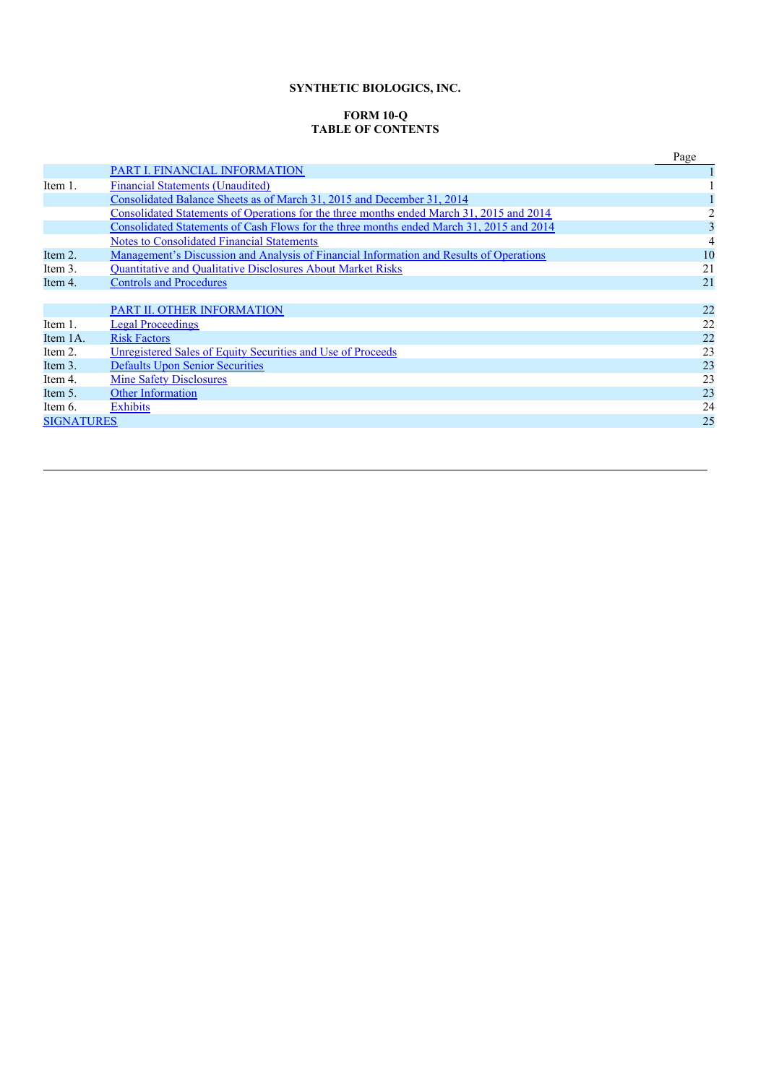# **SYNTHETIC BIOLOGICS, INC.**

#### **FORM 10-Q TABLE OF CONTENTS**

|                   |                                                                                          | Page |
|-------------------|------------------------------------------------------------------------------------------|------|
|                   | PART I. FINANCIAL INFORMATION                                                            |      |
| Item 1.           | <b>Financial Statements (Unaudited)</b>                                                  |      |
|                   | Consolidated Balance Sheets as of March 31, 2015 and December 31, 2014                   |      |
|                   | Consolidated Statements of Operations for the three months ended March 31, 2015 and 2014 |      |
|                   | Consolidated Statements of Cash Flows for the three months ended March 31, 2015 and 2014 |      |
|                   | <b>Notes to Consolidated Financial Statements</b>                                        | 4    |
| Item 2.           | Management's Discussion and Analysis of Financial Information and Results of Operations  | 10   |
| Item 3.           | <b>Quantitative and Qualitative Disclosures About Market Risks</b>                       | 21   |
| Item 4.           | <b>Controls and Procedures</b>                                                           | 21   |
|                   |                                                                                          |      |
|                   | <b>PART II. OTHER INFORMATION</b>                                                        | 22   |
| Item 1.           | <b>Legal Proceedings</b>                                                                 | 22   |
| Item 1A.          | <b>Risk Factors</b>                                                                      | 22   |
| Item 2.           | Unregistered Sales of Equity Securities and Use of Proceeds                              | 23   |
| Item 3.           | <b>Defaults Upon Senior Securities</b>                                                   | 23   |
| Item 4.           | <b>Mine Safety Disclosures</b>                                                           | 23   |
| Item 5.           | <b>Other Information</b>                                                                 | 23   |
| Item 6.           | <b>Exhibits</b>                                                                          | 24   |
| <b>SIGNATURES</b> |                                                                                          | 25   |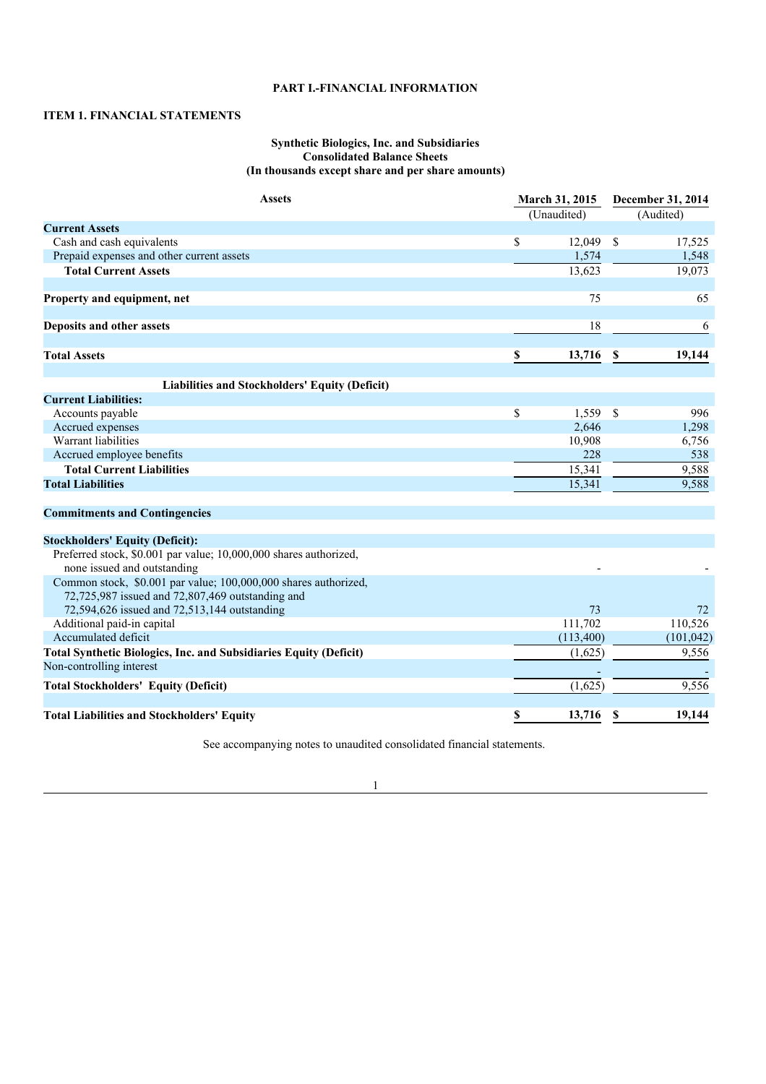# **PART I.-FINANCIAL INFORMATION**

# **ITEM 1. FINANCIAL STATEMENTS**

# **Synthetic Biologics, Inc. and Subsidiaries Consolidated Balance Sheets (In thousands except share and per share amounts)**

| <b>Assets</b>                                                                                                       | <b>March 31, 2015</b><br>(Unaudited) | December 31, 2014<br>(Audited) |
|---------------------------------------------------------------------------------------------------------------------|--------------------------------------|--------------------------------|
| <b>Current Assets</b>                                                                                               |                                      |                                |
| Cash and cash equivalents                                                                                           | \$<br>12,049                         | $\mathcal{S}$<br>17,525        |
| Prepaid expenses and other current assets                                                                           | 1,574                                | 1,548                          |
| <b>Total Current Assets</b>                                                                                         | 13,623                               | 19,073                         |
| Property and equipment, net                                                                                         | 75                                   | 65                             |
| Deposits and other assets                                                                                           | 18                                   | 6                              |
| <b>Total Assets</b>                                                                                                 | 13,716<br>\$                         | 19,144<br>S                    |
| Liabilities and Stockholders' Equity (Deficit)                                                                      |                                      |                                |
| <b>Current Liabilities:</b>                                                                                         |                                      |                                |
| Accounts payable                                                                                                    | \$<br>1,559                          | $\mathbf{s}$<br>996            |
| Accrued expenses                                                                                                    | 2,646                                | 1,298                          |
| Warrant liabilities                                                                                                 | 10,908                               | 6,756                          |
| Accrued employee benefits                                                                                           | 228                                  | 538                            |
| <b>Total Current Liabilities</b>                                                                                    | 15,341                               | 9,588                          |
| <b>Total Liabilities</b>                                                                                            | 15,341                               | 9,588                          |
| <b>Commitments and Contingencies</b>                                                                                |                                      |                                |
| <b>Stockholders' Equity (Deficit):</b>                                                                              |                                      |                                |
| Preferred stock, \$0.001 par value; 10,000,000 shares authorized,                                                   |                                      |                                |
| none issued and outstanding                                                                                         |                                      |                                |
| Common stock, \$0.001 par value; 100,000,000 shares authorized,<br>72,725,987 issued and 72,807,469 outstanding and |                                      |                                |
| 72,594,626 issued and 72,513,144 outstanding                                                                        | 73                                   | 72                             |
| Additional paid-in capital                                                                                          | 111,702                              | 110,526                        |
| Accumulated deficit                                                                                                 | (113,400)                            | (101, 042)                     |
| <b>Total Synthetic Biologics, Inc. and Subsidiaries Equity (Deficit)</b>                                            | (1,625)                              | 9.556                          |
| Non-controlling interest                                                                                            |                                      |                                |
| <b>Total Stockholders' Equity (Deficit)</b>                                                                         | (1,625)                              | 9,556                          |
| <b>Total Liabilities and Stockholders' Equity</b>                                                                   | 13,716                               | 19,144                         |

See accompanying notes to unaudited consolidated financial statements.

# 1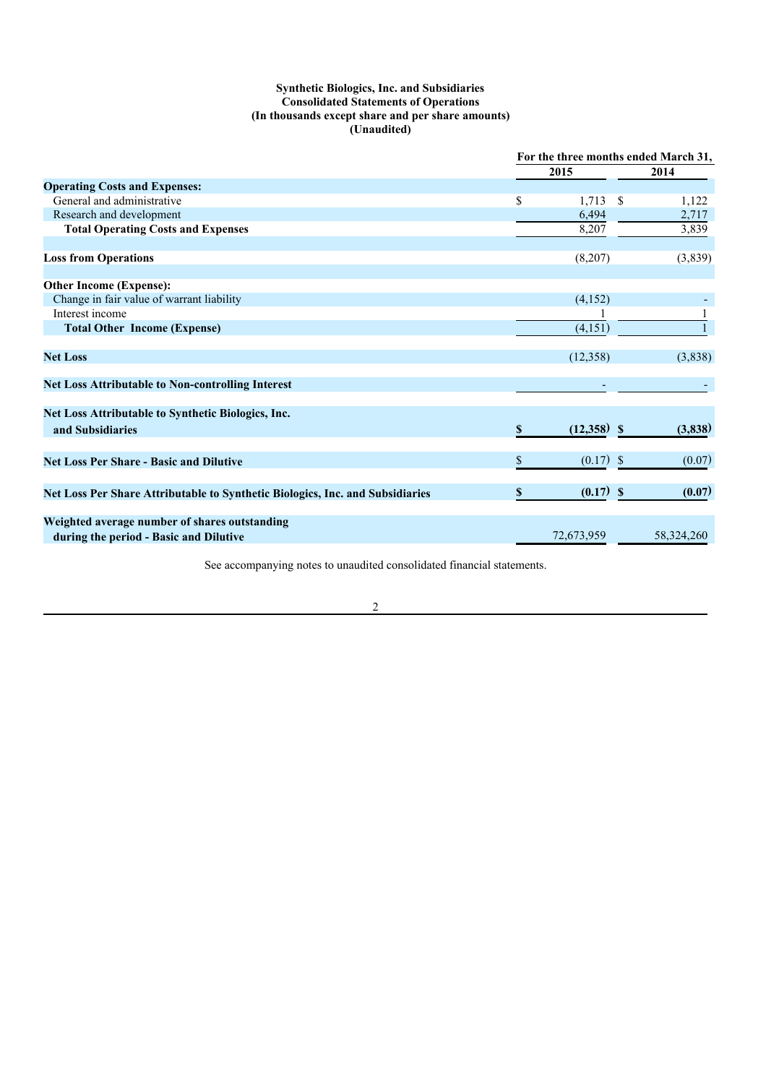# **Synthetic Biologics, Inc. and Subsidiaries Consolidated Statements of Operations (In thousands except share and per share amounts) (Unaudited)**

|                                                                               | For the three months ended March 31, |               |              |              |  |
|-------------------------------------------------------------------------------|--------------------------------------|---------------|--------------|--------------|--|
|                                                                               |                                      | 2015          |              | 2014         |  |
| <b>Operating Costs and Expenses:</b>                                          |                                      |               |              |              |  |
| General and administrative                                                    | \$                                   | 1.713         | \$           | 1,122        |  |
| Research and development                                                      |                                      | 6,494         |              | 2,717        |  |
| <b>Total Operating Costs and Expenses</b>                                     |                                      | 8,207         |              | 3,839        |  |
| <b>Loss from Operations</b>                                                   |                                      | (8,207)       |              | (3,839)      |  |
| Other Income (Expense):                                                       |                                      |               |              |              |  |
| Change in fair value of warrant liability                                     |                                      | (4,152)       |              |              |  |
| Interest income                                                               |                                      |               |              |              |  |
| <b>Total Other Income (Expense)</b>                                           |                                      | (4,151)       |              |              |  |
| <b>Net Loss</b>                                                               |                                      | (12,358)      |              | (3,838)      |  |
| <b>Net Loss Attributable to Non-controlling Interest</b>                      |                                      |               |              |              |  |
| Net Loss Attributable to Synthetic Biologics, Inc.                            |                                      |               |              |              |  |
| and Subsidiaries                                                              | $\mathbf{s}$                         | $(12,358)$ \$ |              | (3,838)      |  |
| <b>Net Loss Per Share - Basic and Dilutive</b>                                | \$                                   | (0.17)        | $\mathbf{s}$ | (0.07)       |  |
|                                                                               |                                      |               |              |              |  |
| Net Loss Per Share Attributable to Synthetic Biologics, Inc. and Subsidiaries | S                                    | $(0.17)$ \$   |              | (0.07)       |  |
| Weighted average number of shares outstanding                                 |                                      |               |              |              |  |
| during the period - Basic and Dilutive                                        |                                      | 72,673,959    |              | 58, 324, 260 |  |

See accompanying notes to unaudited consolidated financial statements.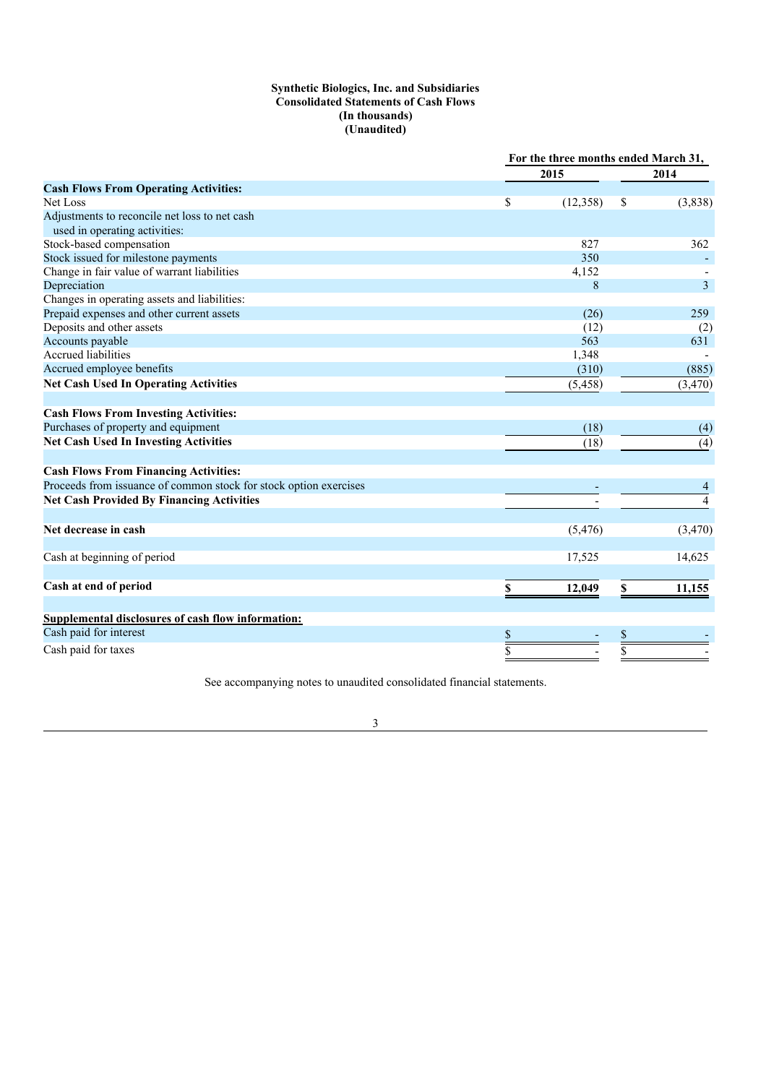### **Synthetic Biologics, Inc. and Subsidiaries Consolidated Statements of Cash Flows (In thousands) (Unaudited)**

|                                                                   | For the three months ended March 31, |    |          |
|-------------------------------------------------------------------|--------------------------------------|----|----------|
|                                                                   | 2015                                 |    | 2014     |
| <b>Cash Flows From Operating Activities:</b>                      |                                      |    |          |
| Net Loss                                                          | \$<br>(12,358)                       | \$ | (3,838)  |
| Adjustments to reconcile net loss to net cash                     |                                      |    |          |
| used in operating activities:                                     |                                      |    |          |
| Stock-based compensation                                          | 827                                  |    | 362      |
| Stock issued for milestone payments                               | 350                                  |    |          |
| Change in fair value of warrant liabilities                       | 4,152                                |    |          |
| Depreciation                                                      | 8                                    |    | 3        |
| Changes in operating assets and liabilities:                      |                                      |    |          |
| Prepaid expenses and other current assets                         | (26)                                 |    | 259      |
| Deposits and other assets                                         | (12)                                 |    | (2)      |
| Accounts payable                                                  | 563                                  |    | 631      |
| <b>Accrued</b> liabilities                                        | 1,348                                |    |          |
| Accrued employee benefits                                         | (310)                                |    | (885)    |
| <b>Net Cash Used In Operating Activities</b>                      | (5, 458)                             |    | (3,470)  |
| <b>Cash Flows From Investing Activities:</b>                      |                                      |    |          |
| Purchases of property and equipment                               | (18)                                 |    | (4)      |
| <b>Net Cash Used In Investing Activities</b>                      | (18)                                 |    | (4)      |
| <b>Cash Flows From Financing Activities:</b>                      |                                      |    |          |
| Proceeds from issuance of common stock for stock option exercises |                                      |    | 4        |
| <b>Net Cash Provided By Financing Activities</b>                  |                                      |    | 4        |
|                                                                   |                                      |    |          |
| Net decrease in cash                                              | (5, 476)                             |    | (3, 470) |
| Cash at beginning of period                                       | 17,525                               |    | 14,625   |
| Cash at end of period                                             | \$<br>12,049                         | \$ | 11,155   |
| Supplemental disclosures of cash flow information:                |                                      |    |          |
| Cash paid for interest                                            | \$                                   | \$ |          |
| Cash paid for taxes                                               | \$                                   | S  |          |

See accompanying notes to unaudited consolidated financial statements.

# 3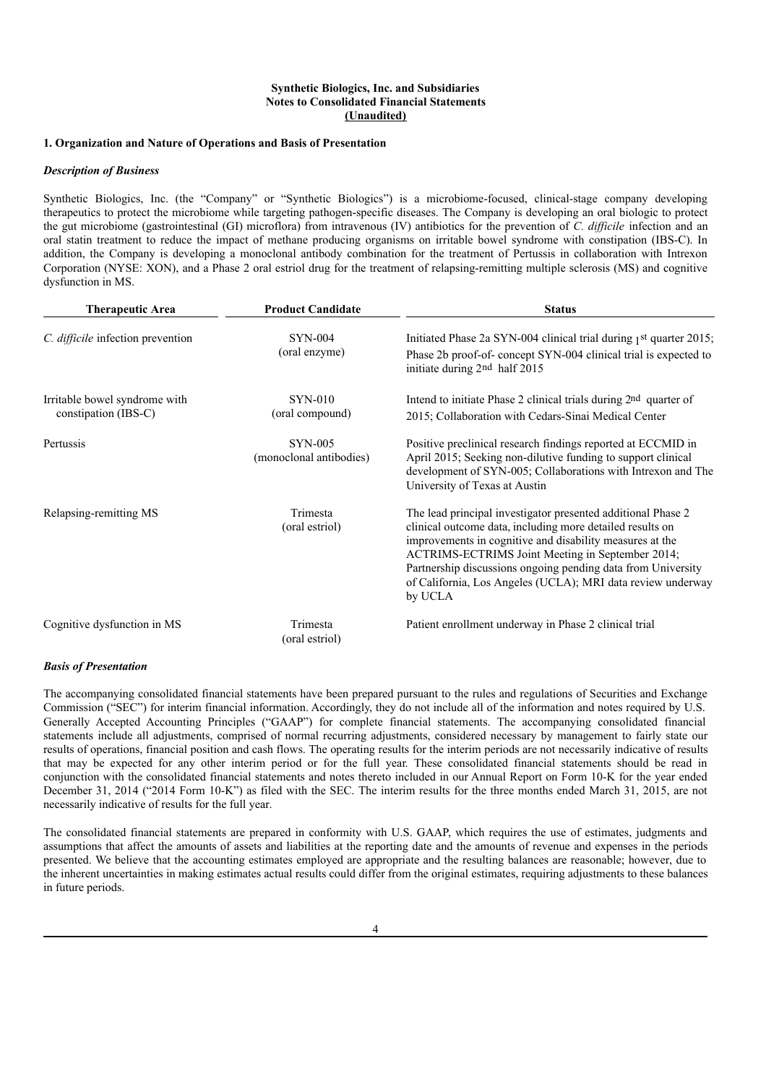# **Synthetic Biologics, Inc. and Subsidiaries Notes to Consolidated Financial Statements (Unaudited)**

# **1. Organization and Nature of Operations and Basis of Presentation**

### *Description of Business*

Synthetic Biologics, Inc. (the "Company" or "Synthetic Biologics") is a microbiome-focused, clinical-stage company developing therapeutics to protect the microbiome while targeting pathogen-specific diseases. The Company is developing an oral biologic to protect the gut microbiome (gastrointestinal (GI) microflora) from intravenous (IV) antibiotics for the prevention of *C. dif icile* infection and an oral statin treatment to reduce the impact of methane producing organisms on irritable bowel syndrome with constipation (IBS-C). In addition, the Company is developing a monoclonal antibody combination for the treatment of Pertussis in collaboration with Intrexon Corporation (NYSE: XON), and a Phase 2 oral estriol drug for the treatment of relapsing-remitting multiple sclerosis (MS) and cognitive dysfunction in MS.

| <b>Therapeutic Area</b>                               | <b>Product Candidate</b>                  | <b>Status</b>                                                                                                                                                                                                                                                                                                                                                                       |
|-------------------------------------------------------|-------------------------------------------|-------------------------------------------------------------------------------------------------------------------------------------------------------------------------------------------------------------------------------------------------------------------------------------------------------------------------------------------------------------------------------------|
| C. difficile infection prevention                     | <b>SYN-004</b><br>(oral enzyme)           | Initiated Phase 2a SYN-004 clinical trial during 1 <sup>st</sup> quarter 2015;<br>Phase 2b proof-of-concept SYN-004 clinical trial is expected to<br>initiate during 2nd half 2015                                                                                                                                                                                                  |
| Irritable bowel syndrome with<br>constipation (IBS-C) | <b>SYN-010</b><br>(oral compound)         | Intend to initiate Phase 2 clinical trials during 2 <sup>nd</sup> quarter of<br>2015; Collaboration with Cedars-Sinai Medical Center                                                                                                                                                                                                                                                |
| Pertussis                                             | <b>SYN-005</b><br>(monoclonal antibodies) | Positive preclinical research findings reported at ECCMID in<br>April 2015; Seeking non-dilutive funding to support clinical<br>development of SYN-005; Collaborations with Intrexon and The<br>University of Texas at Austin                                                                                                                                                       |
| Relapsing-remitting MS                                | Trimesta<br>(oral estriol)                | The lead principal investigator presented additional Phase 2<br>clinical outcome data, including more detailed results on<br>improvements in cognitive and disability measures at the<br>ACTRIMS-ECTRIMS Joint Meeting in September 2014;<br>Partnership discussions ongoing pending data from University<br>of California, Los Angeles (UCLA); MRI data review underway<br>by UCLA |
| Cognitive dysfunction in MS                           | Trimesta<br>(oral estriol)                | Patient enrollment underway in Phase 2 clinical trial                                                                                                                                                                                                                                                                                                                               |

# *Basis of Presentation*

The accompanying consolidated financial statements have been prepared pursuant to the rules and regulations of Securities and Exchange Commission ("SEC") for interim financial information. Accordingly, they do not include all of the information and notes required by U.S. Generally Accepted Accounting Principles ("GAAP") for complete financial statements. The accompanying consolidated financial statements include all adjustments, comprised of normal recurring adjustments, considered necessary by management to fairly state our results of operations, financial position and cash flows. The operating results for the interim periods are not necessarily indicative of results that may be expected for any other interim period or for the full year. These consolidated financial statements should be read in conjunction with the consolidated financial statements and notes thereto included in our Annual Report on Form 10-K for the year ended December 31, 2014 ("2014 Form 10-K") as filed with the SEC. The interim results for the three months ended March 31, 2015, are not necessarily indicative of results for the full year.

The consolidated financial statements are prepared in conformity with U.S. GAAP, which requires the use of estimates, judgments and assumptions that affect the amounts of assets and liabilities at the reporting date and the amounts of revenue and expenses in the periods presented. We believe that the accounting estimates employed are appropriate and the resulting balances are reasonable; however, due to the inherent uncertainties in making estimates actual results could differ from the original estimates, requiring adjustments to these balances in future periods.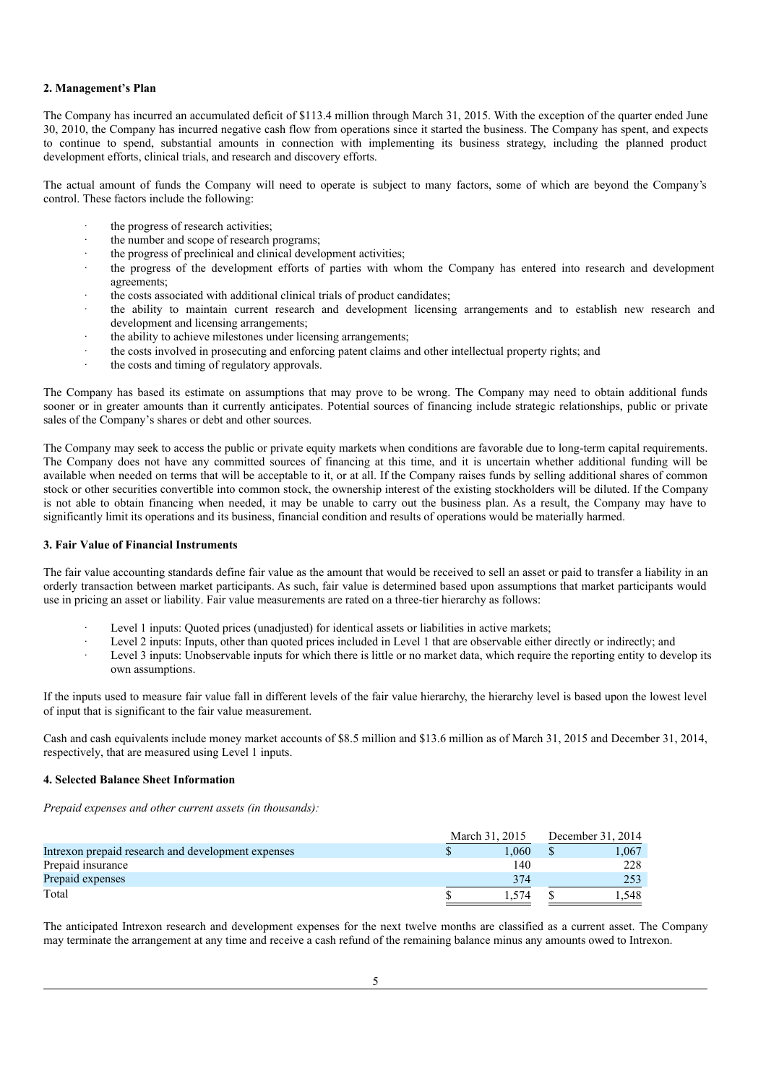# **2. Management's Plan**

The Company has incurred an accumulated deficit of \$113.4 million through March 31, 2015. With the exception of the quarter ended June 30, 2010, the Company has incurred negative cash flow from operations since it started the business. The Company has spent, and expects to continue to spend, substantial amounts in connection with implementing its business strategy, including the planned product development efforts, clinical trials, and research and discovery efforts.

The actual amount of funds the Company will need to operate is subject to many factors, some of which are beyond the Company's control. These factors include the following:

- the progress of research activities;
- the number and scope of research programs;
- the progress of preclinical and clinical development activities;
- · the progress of the development efforts of parties with whom the Company has entered into research and development agreements;
- the costs associated with additional clinical trials of product candidates;
- · the ability to maintain current research and development licensing arrangements and to establish new research and development and licensing arrangements;
- the ability to achieve milestones under licensing arrangements;
- the costs involved in prosecuting and enforcing patent claims and other intellectual property rights; and
- the costs and timing of regulatory approvals.

The Company has based its estimate on assumptions that may prove to be wrong. The Company may need to obtain additional funds sooner or in greater amounts than it currently anticipates. Potential sources of financing include strategic relationships, public or private sales of the Company's shares or debt and other sources.

The Company may seek to access the public or private equity markets when conditions are favorable due to long-term capital requirements. The Company does not have any committed sources of financing at this time, and it is uncertain whether additional funding will be available when needed on terms that will be acceptable to it, or at all. If the Company raises funds by selling additional shares of common stock or other securities convertible into common stock, the ownership interest of the existing stockholders will be diluted. If the Company is not able to obtain financing when needed, it may be unable to carry out the business plan. As a result, the Company may have to significantly limit its operations and its business, financial condition and results of operations would be materially harmed.

# **3. Fair Value of Financial Instruments**

The fair value accounting standards define fair value as the amount that would be received to sell an asset or paid to transfer a liability in an orderly transaction between market participants. As such, fair value is determined based upon assumptions that market participants would use in pricing an asset or liability. Fair value measurements are rated on a three-tier hierarchy as follows:

- Level 1 inputs: Quoted prices (unadjusted) for identical assets or liabilities in active markets;
- Level 2 inputs: Inputs, other than quoted prices included in Level 1 that are observable either directly or indirectly; and
- Level 3 inputs: Unobservable inputs for which there is little or no market data, which require the reporting entity to develop its own assumptions.

If the inputs used to measure fair value fall in different levels of the fair value hierarchy, the hierarchy level is based upon the lowest level of input that is significant to the fair value measurement.

Cash and cash equivalents include money market accounts of \$8.5 million and \$13.6 million as of March 31, 2015 and December 31, 2014, respectively, that are measured using Level 1 inputs.

# **4. Selected Balance Sheet Information**

*Prepaid expenses and other current assets (in thousands):*

|                                                    | March 31, 2015 |  | December 31, 2014 |  |
|----------------------------------------------------|----------------|--|-------------------|--|
| Intrexon prepaid research and development expenses | 1.060          |  | 1.067             |  |
| Prepaid insurance                                  | 140            |  | 228               |  |
| Prepaid expenses                                   | 374            |  |                   |  |
| Total                                              | .574           |  | .548              |  |

The anticipated Intrexon research and development expenses for the next twelve months are classified as a current asset. The Company may terminate the arrangement at any time and receive a cash refund of the remaining balance minus any amounts owed to Intrexon.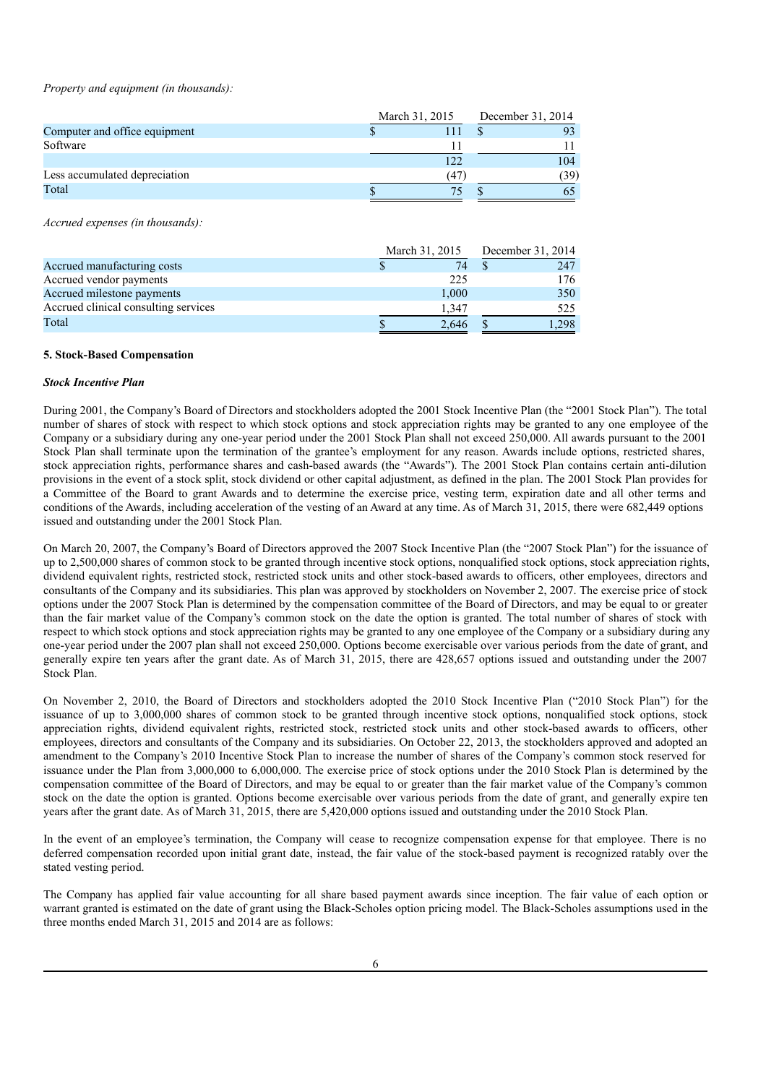# *Property and equipment (in thousands):*

|                               | March 31, 2015 | December 31, 2014 |
|-------------------------------|----------------|-------------------|
| Computer and office equipment |                |                   |
| Software                      |                |                   |
|                               | 22             | 104               |
| Less accumulated depreciation | .47            | (39               |
| Total                         |                |                   |

*Accrued expenses (in thousands):*

|                                      | March 31, 2015 | December 31, 2014 |      |  |  |
|--------------------------------------|----------------|-------------------|------|--|--|
| Accrued manufacturing costs          | 74             |                   | 247  |  |  |
| Accrued vendor payments              | 225            |                   | 176  |  |  |
| Accrued milestone payments           | 1,000          |                   | 350  |  |  |
| Accrued clinical consulting services | 1.347          |                   | 525  |  |  |
| Total                                | 2.646          |                   | .298 |  |  |

# **5. Stock-Based Compensation**

# *Stock Incentive Plan*

During 2001, the Company's Board of Directors and stockholders adopted the 2001 Stock Incentive Plan (the "2001 Stock Plan"). The total number of shares of stock with respect to which stock options and stock appreciation rights may be granted to any one employee of the Company or a subsidiary during any one-year period under the 2001 Stock Plan shall not exceed 250,000. All awards pursuant to the 2001 Stock Plan shall terminate upon the termination of the grantee's employment for any reason. Awards include options, restricted shares, stock appreciation rights, performance shares and cash-based awards (the "Awards"). The 2001 Stock Plan contains certain anti-dilution provisions in the event of a stock split, stock dividend or other capital adjustment, as defined in the plan. The 2001 Stock Plan provides for a Committee of the Board to grant Awards and to determine the exercise price, vesting term, expiration date and all other terms and conditions of the Awards, including acceleration of the vesting of an Award at any time. As of March 31, 2015, there were 682,449 options issued and outstanding under the 2001 Stock Plan.

On March 20, 2007, the Company's Board of Directors approved the 2007 Stock Incentive Plan (the "2007 Stock Plan") for the issuance of up to 2,500,000 shares of common stock to be granted through incentive stock options, nonqualified stock options, stock appreciation rights, dividend equivalent rights, restricted stock, restricted stock units and other stock-based awards to officers, other employees, directors and consultants of the Company and its subsidiaries. This plan was approved by stockholders on November 2, 2007. The exercise price of stock options under the 2007 Stock Plan is determined by the compensation committee of the Board of Directors, and may be equal to or greater than the fair market value of the Company's common stock on the date the option is granted. The total number of shares of stock with respect to which stock options and stock appreciation rights may be granted to any one employee of the Company or a subsidiary during any one-year period under the 2007 plan shall not exceed 250,000. Options become exercisable over various periods from the date of grant, and generally expire ten years after the grant date. As of March 31, 2015, there are 428,657 options issued and outstanding under the 2007 Stock Plan.

On November 2, 2010, the Board of Directors and stockholders adopted the 2010 Stock Incentive Plan ("2010 Stock Plan") for the issuance of up to 3,000,000 shares of common stock to be granted through incentive stock options, nonqualified stock options, stock appreciation rights, dividend equivalent rights, restricted stock, restricted stock units and other stock-based awards to officers, other employees, directors and consultants of the Company and its subsidiaries. On October 22, 2013, the stockholders approved and adopted an amendment to the Company's 2010 Incentive Stock Plan to increase the number of shares of the Company's common stock reserved for issuance under the Plan from 3,000,000 to 6,000,000. The exercise price of stock options under the 2010 Stock Plan is determined by the compensation committee of the Board of Directors, and may be equal to or greater than the fair market value of the Company's common stock on the date the option is granted. Options become exercisable over various periods from the date of grant, and generally expire ten years after the grant date. As of March 31, 2015, there are 5,420,000 options issued and outstanding under the 2010 Stock Plan.

In the event of an employee's termination, the Company will cease to recognize compensation expense for that employee. There is no deferred compensation recorded upon initial grant date, instead, the fair value of the stock-based payment is recognized ratably over the stated vesting period.

The Company has applied fair value accounting for all share based payment awards since inception. The fair value of each option or warrant granted is estimated on the date of grant using the Black-Scholes option pricing model. The Black-Scholes assumptions used in the three months ended March 31, 2015 and 2014 are as follows: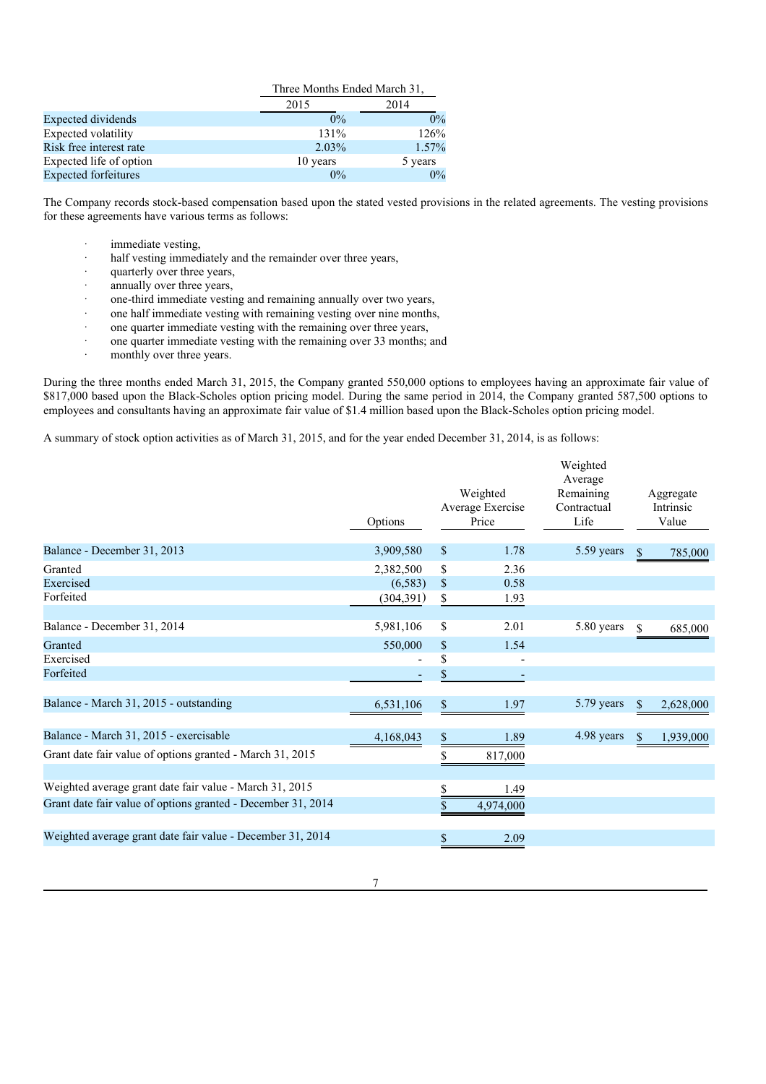|                             | Three Months Ended March 31, |          |
|-----------------------------|------------------------------|----------|
|                             | 2015                         | 2014     |
| Expected dividends          | $0\%$                        | $0\%$    |
| Expected volatility         | 131%                         | 126%     |
| Risk free interest rate     | $2.03\%$                     | $1.57\%$ |
| Expected life of option     | 10 years                     | 5 years  |
| <b>Expected forfeitures</b> | $0\%$                        | $0\%$    |

The Company records stock-based compensation based upon the stated vested provisions in the related agreements. The vesting provisions for these agreements have various terms as follows:

- immediate vesting,
- half vesting immediately and the remainder over three years,
- · quarterly over three years,
- · annually over three years,
- · one-third immediate vesting and remaining annually over two years,
- · one half immediate vesting with remaining vesting over nine months,
- · one quarter immediate vesting with the remaining over three years,
- · one quarter immediate vesting with the remaining over 33 months; and
- · monthly over three years.

During the three months ended March 31, 2015, the Company granted 550,000 options to employees having an approximate fair value of \$817,000 based upon the Black-Scholes option pricing model. During the same period in 2014, the Company granted 587,500 options to employees and consultants having an approximate fair value of \$1.4 million based upon the Black-Scholes option pricing model.

A summary of stock option activities as of March 31, 2015, and for the year ended December 31, 2014, is as follows:

|                                                              | Options    |              | Weighted<br>Average Exercise<br>Price | Weighted<br>Average<br>Remaining<br>Contractual<br>Life |     | Aggregate<br>Intrinsic<br>Value |
|--------------------------------------------------------------|------------|--------------|---------------------------------------|---------------------------------------------------------|-----|---------------------------------|
| Balance - December 31, 2013                                  | 3,909,580  | $\mathbb{S}$ | 1.78                                  | 5.59 years                                              | \$. | 785,000                         |
| Granted                                                      | 2,382,500  | \$           | 2.36                                  |                                                         |     |                                 |
| Exercised                                                    | (6, 583)   | $\mathbf S$  | 0.58                                  |                                                         |     |                                 |
| Forfeited                                                    | (304, 391) | \$           | 1.93                                  |                                                         |     |                                 |
|                                                              |            |              |                                       |                                                         |     |                                 |
| Balance - December 31, 2014                                  | 5,981,106  | \$           | 2.01                                  | 5.80 years                                              | S   | 685,000                         |
| Granted                                                      | 550,000    | \$           | 1.54                                  |                                                         |     |                                 |
| Exercised                                                    |            | \$           |                                       |                                                         |     |                                 |
| Forfeited                                                    |            | \$           |                                       |                                                         |     |                                 |
| Balance - March 31, 2015 - outstanding                       | 6,531,106  | \$           | 1.97                                  | 5.79 years                                              |     | 2,628,000                       |
| Balance - March 31, 2015 - exercisable                       | 4,168,043  | \$           | 1.89                                  | 4.98 years                                              | \$  | 1,939,000                       |
| Grant date fair value of options granted - March 31, 2015    |            |              | 817,000                               |                                                         |     |                                 |
|                                                              |            |              |                                       |                                                         |     |                                 |
| Weighted average grant date fair value - March 31, 2015      |            | \$           | 1.49                                  |                                                         |     |                                 |
| Grant date fair value of options granted - December 31, 2014 |            |              | 4,974,000                             |                                                         |     |                                 |
|                                                              |            |              |                                       |                                                         |     |                                 |
| Weighted average grant date fair value - December 31, 2014   |            | \$           | 2.09                                  |                                                         |     |                                 |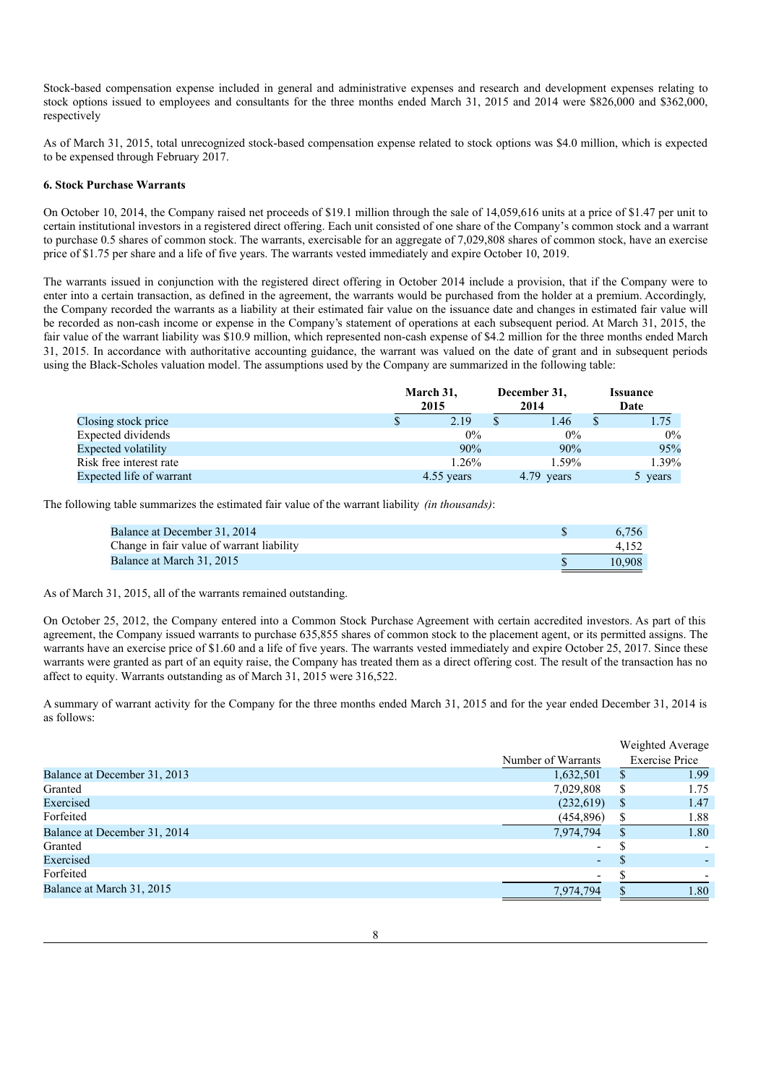Stock-based compensation expense included in general and administrative expenses and research and development expenses relating to stock options issued to employees and consultants for the three months ended March 31, 2015 and 2014 were \$826,000 and \$362,000, respectively

As of March 31, 2015, total unrecognized stock-based compensation expense related to stock options was \$4.0 million, which is expected to be expensed through February 2017.

### **6. Stock Purchase Warrants**

On October 10, 2014, the Company raised net proceeds of \$19.1 million through the sale of 14,059,616 units at a price of \$1.47 per unit to certain institutional investors in a registered direct offering. Each unit consisted of one share of the Company's common stock and a warrant to purchase 0.5 shares of common stock. The warrants, exercisable for an aggregate of 7,029,808 shares of common stock, have an exercise price of \$1.75 per share and a life of five years. The warrants vested immediately and expire October 10, 2019.

The warrants issued in conjunction with the registered direct offering in October 2014 include a provision, that if the Company were to enter into a certain transaction, as defined in the agreement, the warrants would be purchased from the holder at a premium. Accordingly, the Company recorded the warrants as a liability at their estimated fair value on the issuance date and changes in estimated fair value will be recorded as non-cash income or expense in the Company's statement of operations at each subsequent period. At March 31, 2015, the fair value of the warrant liability was \$10.9 million, which represented non-cash expense of \$4.2 million for the three months ended March 31, 2015. In accordance with authoritative accounting guidance, the warrant was valued on the date of grant and in subsequent periods using the Black-Scholes valuation model. The assumptions used by the Company are summarized in the following table:

|                          | March 31,<br>2015 | December 31,<br>2014 |            | <i><b>Issuance</b></i><br>Date |  |
|--------------------------|-------------------|----------------------|------------|--------------------------------|--|
| Closing stock price      | 2.19              |                      | 1.46       | 1.75                           |  |
| Expected dividends       | $0\%$             |                      | $0\%$      | $0\%$                          |  |
| Expected volatility      | 90%               |                      | 90%        | 95%                            |  |
| Risk free interest rate  | 1.26%             |                      | $1.59\%$   | 1.39%                          |  |
| Expected life of warrant | 4.55 years        |                      | 4.79 years | years                          |  |

The following table summarizes the estimated fair value of the warrant liability *(in thousands)*:

| Balance at December 31, 2014              | 6.756  |
|-------------------------------------------|--------|
| Change in fair value of warrant liability | 4.152  |
| Balance at March 31, 2015                 | 10.908 |

As of March 31, 2015, all of the warrants remained outstanding.

On October 25, 2012, the Company entered into a Common Stock Purchase Agreement with certain accredited investors. As part of this agreement, the Company issued warrants to purchase 635,855 shares of common stock to the placement agent, or its permitted assigns. The warrants have an exercise price of \$1.60 and a life of five years. The warrants vested immediately and expire October 25, 2017. Since these warrants were granted as part of an equity raise, the Company has treated them as a direct offering cost. The result of the transaction has no affect to equity. Warrants outstanding as of March 31, 2015 were 316,522.

A summary of warrant activity for the Company for the three months ended March 31, 2015 and for the year ended December 31, 2014 is as follows:

|                              |                          |   | Weighted Average         |
|------------------------------|--------------------------|---|--------------------------|
|                              | Number of Warrants       |   | <b>Exercise Price</b>    |
| Balance at December 31, 2013 | 1,632,501                | S | 1.99                     |
| Granted                      | 7,029,808                |   | 1.75                     |
| Exercised                    | (232,619)                | S | 1.47                     |
| Forfeited                    | (454,896)                |   | 1.88                     |
| Balance at December 31, 2014 | 7,974,794                |   | 1.80                     |
| Granted                      | $\overline{\phantom{0}}$ |   |                          |
| Exercised                    | $\overline{\phantom{0}}$ |   | $\overline{\phantom{0}}$ |
| Forfeited                    |                          |   |                          |
| Balance at March 31, 2015    | 7.974.794                |   | 1.80                     |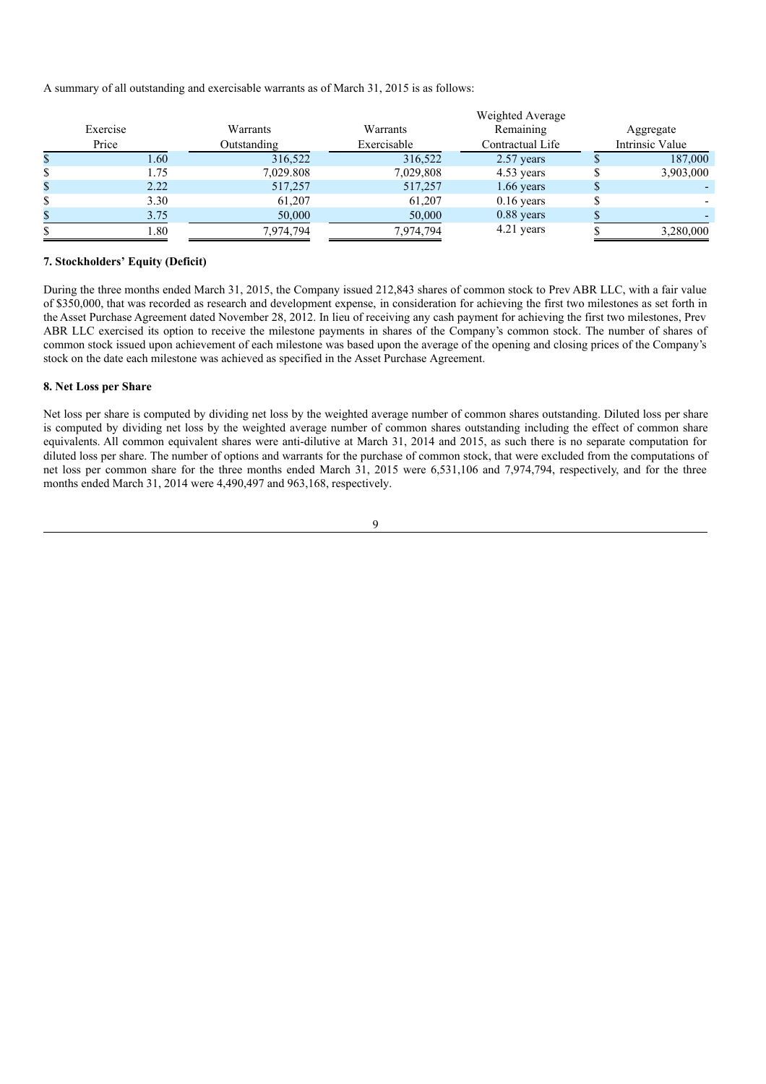A summary of all outstanding and exercisable warrants as of March 31, 2015 is as follows:

|       |          |                 | Weighted Average |                  |  |                 |  |
|-------|----------|-----------------|------------------|------------------|--|-----------------|--|
|       | Exercise | <b>Warrants</b> | Warrants         | Remaining        |  | Aggregate       |  |
| Price |          | Outstanding     | Exercisable      | Contractual Life |  | Intrinsic Value |  |
|       | 1.60     | 316,522         | 316,522          | 2.57 years       |  | 187,000         |  |
|       | 1.75     | 7.029.808       | 7,029,808        | 4.53 years       |  | 3,903,000       |  |
| S     | 2.22     | 517,257         | 517,257          | $1.66$ years     |  |                 |  |
|       | 3.30     | 61,207          | 61.207           | $0.16$ years     |  |                 |  |
|       | 3.75     | 50,000          | 50,000           | $0.88$ years     |  |                 |  |
|       | 1.80     | 7,974,794       | 7,974,794        | 4.21 years       |  | 3,280,000       |  |

# **7. Stockholders' Equity (Deficit)**

During the three months ended March 31, 2015, the Company issued 212,843 shares of common stock to Prev ABR LLC, with a fair value of \$350,000, that was recorded as research and development expense, in consideration for achieving the first two milestones as set forth in the Asset Purchase Agreement dated November 28, 2012. In lieu of receiving any cash payment for achieving the first two milestones, Prev ABR LLC exercised its option to receive the milestone payments in shares of the Company's common stock. The number of shares of common stock issued upon achievement of each milestone was based upon the average of the opening and closing prices of the Company's stock on the date each milestone was achieved as specified in the Asset Purchase Agreement.

### **8. Net Loss per Share**

Net loss per share is computed by dividing net loss by the weighted average number of common shares outstanding. Diluted loss per share is computed by dividing net loss by the weighted average number of common shares outstanding including the effect of common share equivalents. All common equivalent shares were anti-dilutive at March 31, 2014 and 2015, as such there is no separate computation for diluted loss per share. The number of options and warrants for the purchase of common stock, that were excluded from the computations of net loss per common share for the three months ended March 31, 2015 were 6,531,106 and 7,974,794, respectively, and for the three months ended March 31, 2014 were 4,490,497 and 963,168, respectively.

#### 9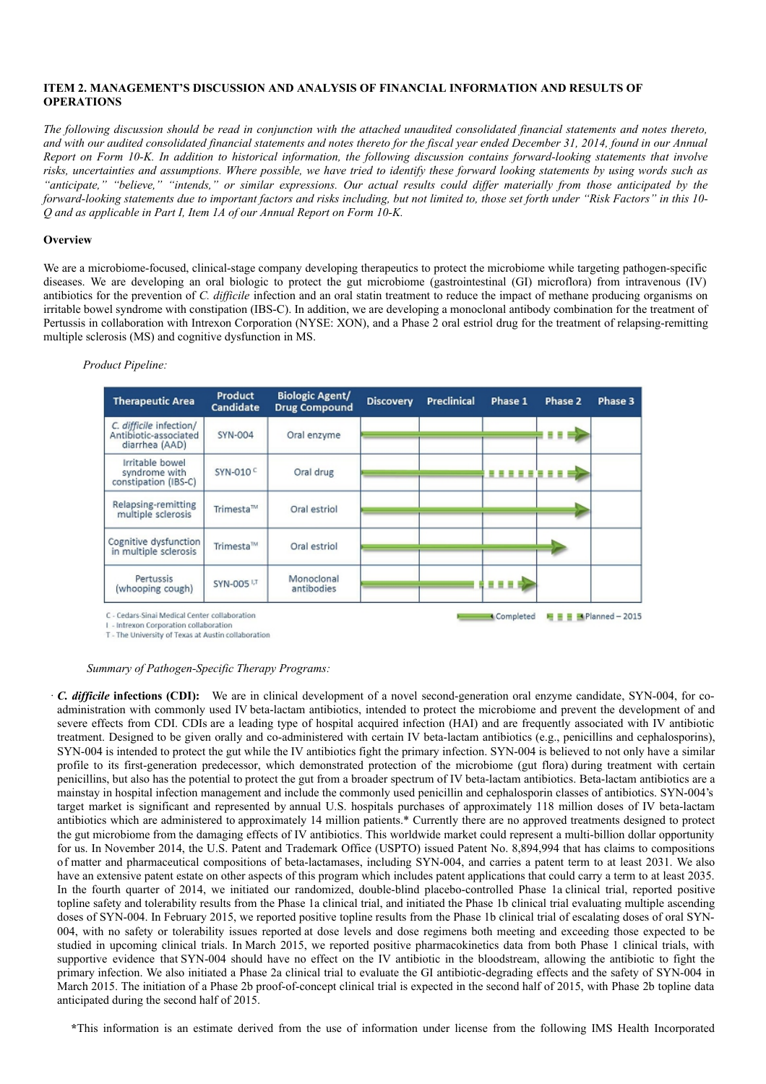# **ITEM 2. MANAGEMENT'S DISCUSSION AND ANALYSIS OF FINANCIAL INFORMATION AND RESULTS OF OPERATIONS**

The following discussion should be read in conjunction with the attached unaudited consolidated financial statements and notes thereto, and with our audited consolidated financial statements and notes thereto for the fiscal year ended December 31, 2014, found in our Annual Report on Form 10-K. In addition to historical information, the following discussion contains forward-looking statements that involve risks, uncertainties and assumptions. Where possible, we have tried to identify these forward looking statements by using words such as "anticipate," "believe," "intends," or similar expressions. Our actual results could differ materially from those anticipated by the forward-looking statements due to important factors and risks including, but not limited to, those set forth under "Risk Factors" in this 10-*Q and as applicable in Part I, Item 1A of our Annual Report on Form 10-K.*

# **Overview**

We are a microbiome-focused, clinical-stage company developing therapeutics to protect the microbiome while targeting pathogen-specific diseases. We are developing an oral biologic to protect the gut microbiome (gastrointestinal (GI) microflora) from intravenous (IV) antibiotics for the prevention of *C. difficile* infection and an oral statin treatment to reduce the impact of methane producing organisms on irritable bowel syndrome with constipation (IBS-C). In addition, we are developing a monoclonal antibody combination for the treatment of Pertussis in collaboration with Intrexon Corporation (NYSE: XON), and a Phase 2 oral estriol drug for the treatment of relapsing-remitting multiple sclerosis (MS) and cognitive dysfunction in MS.

| <b>Therapeutic Area</b>                                            | Product<br>Candidate | <b>Biologic Agent/</b><br><b>Drug Compound</b> | <b>Discovery</b> | Preclinical | Phase 1   | Phase 2 | Phase 3          |
|--------------------------------------------------------------------|----------------------|------------------------------------------------|------------------|-------------|-----------|---------|------------------|
| C. difficile infection/<br>Antibiotic-associated<br>diarrhea (AAD) | <b>SYN-004</b>       | Oral enzyme                                    |                  |             |           |         |                  |
| Irritable bowel<br>syndrome with<br>constipation (IBS-C)           | SYN-010 <sup>C</sup> | Oral drug                                      |                  |             |           |         |                  |
| Relapsing-remitting<br>multiple sclerosis                          | Trimesta™            | Oral estriol                                   |                  |             |           |         |                  |
| Cognitive dysfunction<br>in multiple sclerosis                     | Trimesta™            | Oral estriol                                   |                  |             |           |         |                  |
| Pertussis<br>(whooping cough)                                      | <b>SYN-005 IT</b>    | Monoclonal<br>antibodies                       |                  |             |           |         |                  |
| C - Cedars-Sinai Medical Center collaboration                      |                      |                                                |                  |             | Completed |         | $Planned - 2015$ |

*Product Pipeline:*

- Intrexon Corporation collaboration

T - The University of Texas at Austin collaboration

*Summary of Pathogen-Specific Therapy Programs:*

· *C. dif icile* **infections (CDI):** We are in clinical development of a novel second-generation oral enzyme candidate, SYN-004, for coadministration with commonly used IV beta-lactam antibiotics, intended to protect the microbiome and prevent the development of and severe effects from CDI. CDIs are a leading type of hospital acquired infection (HAI) and are frequently associated with IV antibiotic treatment. Designed to be given orally and co-administered with certain IV beta-lactam antibiotics (e.g., penicillins and cephalosporins), SYN-004 is intended to protect the gut while the IV antibiotics fight the primary infection. SYN-004 is believed to not only have a similar profile to its first-generation predecessor, which demonstrated protection of the microbiome (gut flora) during treatment with certain penicillins, but also has the potential to protect the gut from a broader spectrum of IV beta-lactam antibiotics. Beta-lactam antibiotics are a mainstay in hospital infection management and include the commonly used penicillin and cephalosporin classes of antibiotics. SYN-004's target market is significant and represented by annual U.S. hospitals purchases of approximately 118 million doses of IV beta-lactam antibiotics which are administered to approximately 14 million patients.\* Currently there are no approved treatments designed to protect the gut microbiome from the damaging effects of IV antibiotics. This worldwide market could represent a multi-billion dollar opportunity for us. In November 2014, the U.S. Patent and Trademark Office (USPTO) issued Patent No. 8,894,994 that has claims to compositions of matter and pharmaceutical compositions of beta-lactamases, including SYN-004, and carries a patent term to at least 2031. We also have an extensive patent estate on other aspects of this program which includes patent applications that could carry a term to at least 2035. In the fourth quarter of 2014, we initiated our randomized, double-blind placebo-controlled Phase 1a clinical trial, reported positive topline safety and tolerability results from the Phase 1a clinical trial, and initiated the Phase 1b clinical trial evaluating multiple ascending doses of SYN-004. In February 2015, we reported positive topline results from the Phase 1b clinical trial of escalating doses of oral SYN-004, with no safety or tolerability issues reported at dose levels and dose regimens both meeting and exceeding those expected to be studied in upcoming clinical trials. In March 2015, we reported positive pharmacokinetics data from both Phase 1 clinical trials, with supportive evidence that SYN-004 should have no effect on the IV antibiotic in the bloodstream, allowing the antibiotic to fight the primary infection. We also initiated a Phase 2a clinical trial to evaluate the GI antibiotic-degrading effects and the safety of SYN-004 in March 2015. The initiation of a Phase 2b proof-of-concept clinical trial is expected in the second half of 2015, with Phase 2b topline data anticipated during the second half of 2015.

**\***This information is an estimate derived from the use of information under license from the following IMS Health Incorporated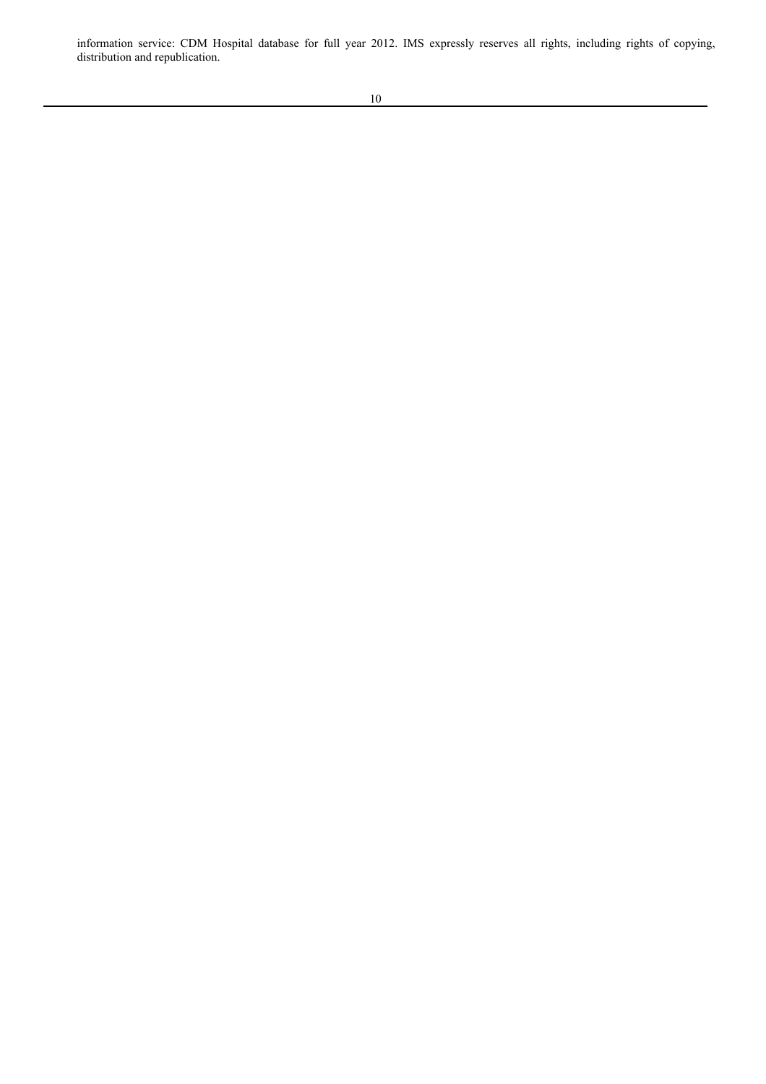information service: CDM Hospital database for full year 2012. IMS expressly reserves all rights, including rights of copying, distribution and republication.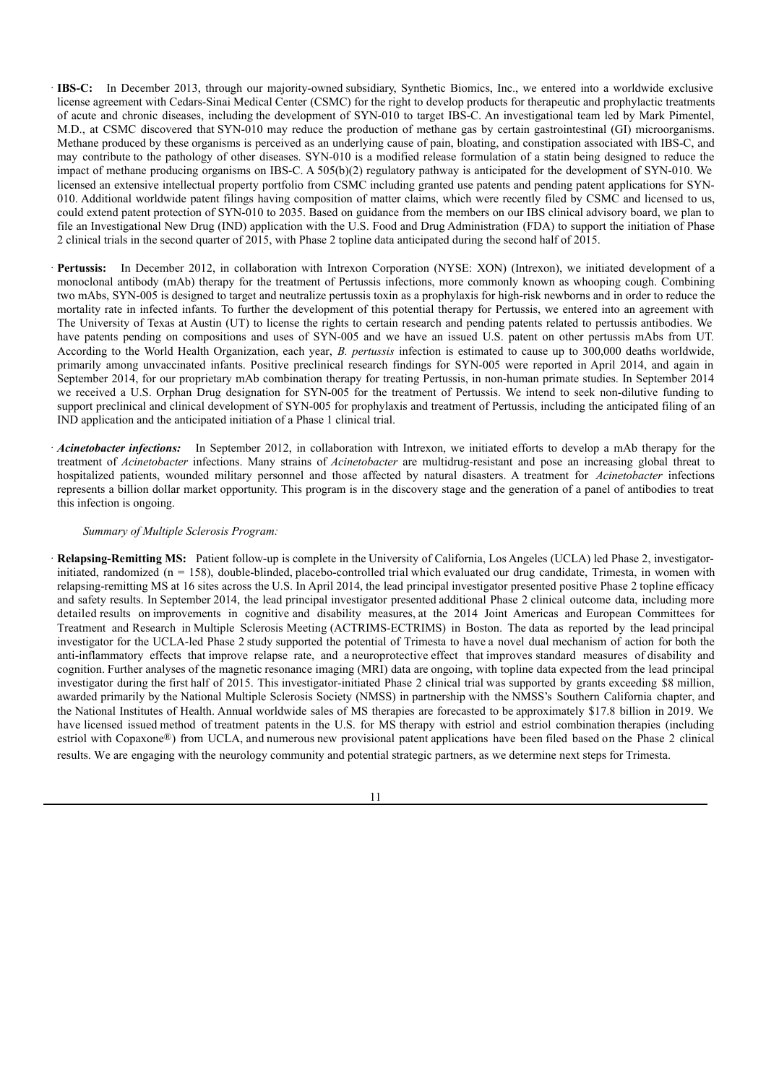- · **IBS-C:** In December 2013, through our majority-owned subsidiary, Synthetic Biomics, Inc., we entered into a worldwide exclusive license agreement with Cedars-Sinai Medical Center (CSMC) for the right to develop products for therapeutic and prophylactic treatments of acute and chronic diseases, including the development of SYN-010 to target IBS-C. An investigational team led by Mark Pimentel, M.D., at CSMC discovered that SYN-010 may reduce the production of methane gas by certain gastrointestinal (GI) microorganisms. Methane produced by these organisms is perceived as an underlying cause of pain, bloating, and constipation associated with IBS-C, and may contribute to the pathology of other diseases. SYN-010 is a modified release formulation of a statin being designed to reduce the impact of methane producing organisms on IBS-C. A 505(b)(2) regulatory pathway is anticipated for the development of SYN-010. We licensed an extensive intellectual property portfolio from CSMC including granted use patents and pending patent applications for SYN-010. Additional worldwide patent filings having composition of matter claims, which were recently filed by CSMC and licensed to us, could extend patent protection of SYN-010 to 2035. Based on guidance from the members on our IBS clinical advisory board, we plan to file an Investigational New Drug (IND) application with the U.S. Food and Drug Administration (FDA) to support the initiation of Phase 2 clinical trials in the second quarter of 2015, with Phase 2 topline data anticipated during the second half of 2015.
- · **Pertussis:** In December 2012, in collaboration with Intrexon Corporation (NYSE: XON) (Intrexon), we initiated development of a monoclonal antibody (mAb) therapy for the treatment of Pertussis infections, more commonly known as whooping cough. Combining two mAbs, SYN-005 is designed to target and neutralize pertussis toxin as a prophylaxis for high-risk newborns and in order to reduce the mortality rate in infected infants. To further the development of this potential therapy for Pertussis, we entered into an agreement with The University of Texas at Austin (UT) to license the rights to certain research and pending patents related to pertussis antibodies. We have patents pending on compositions and uses of SYN-005 and we have an issued U.S. patent on other pertussis mAbs from UT. According to the World Health Organization, each year, *B. pertussis* infection is estimated to cause up to 300,000 deaths worldwide, primarily among unvaccinated infants. Positive preclinical research findings for SYN-005 were reported in April 2014, and again in September 2014, for our proprietary mAb combination therapy for treating Pertussis, in non-human primate studies. In September 2014 we received a U.S. Orphan Drug designation for SYN-005 for the treatment of Pertussis. We intend to seek non-dilutive funding to support preclinical and clinical development of SYN-005 for prophylaxis and treatment of Pertussis, including the anticipated filing of an IND application and the anticipated initiation of a Phase 1 clinical trial.
- · *Acinetobacter infections:* In September 2012, in collaboration with Intrexon, we initiated efforts to develop a mAb therapy for the treatment of *Acinetobacter* infections. Many strains of *Acinetobacter* are multidrug-resistant and pose an increasing global threat to hospitalized patients, wounded military personnel and those affected by natural disasters. A treatment for *Acinetobacter* infections represents a billion dollar market opportunity. This program is in the discovery stage and the generation of a panel of antibodies to treat this infection is ongoing.

#### *Summary of Multiple Sclerosis Program:*

· **Relapsing-Remitting MS:** Patient follow-up is complete in the University of California, Los Angeles (UCLA) led Phase 2, investigatorinitiated, randomized (n = 158), double-blinded, placebo-controlled trial which evaluated our drug candidate, Trimesta, in women with relapsing-remitting MS at 16 sites across the U.S. In April 2014, the lead principal investigator presented positive Phase 2 topline efficacy and safety results. In September 2014, the lead principal investigator presented additional Phase 2 clinical outcome data, including more detailed results on improvements in cognitive and disability measures, at the 2014 Joint Americas and European Committees for Treatment and Research in Multiple Sclerosis Meeting (ACTRIMS-ECTRIMS) in Boston. The data as reported by the lead principal investigator for the UCLA-led Phase 2 study supported the potential of Trimesta to have a novel dual mechanism of action for both the anti-inflammatory effects that improve relapse rate, and a neuroprotective effect that improves standard measures of disability and cognition. Further analyses of the magnetic resonance imaging (MRI) data are ongoing, with topline data expected from the lead principal investigator during the first half of 2015. This investigator-initiated Phase 2 clinical trial was supported by grants exceeding \$8 million, awarded primarily by the National Multiple Sclerosis Society (NMSS) in partnership with the NMSS's Southern California chapter, and the National Institutes of Health. Annual worldwide sales of MS therapies are forecasted to be approximately \$17.8 billion in 2019. We have licensed issued method of treatment patents in the U.S. for MS therapy with estriol and estriol combination therapies (including estriol with Copaxone®) from UCLA, and numerous new provisional patent applications have been filed based on the Phase 2 clinical results. We are engaging with the neurology community and potential strategic partners, as we determine next steps for Trimesta.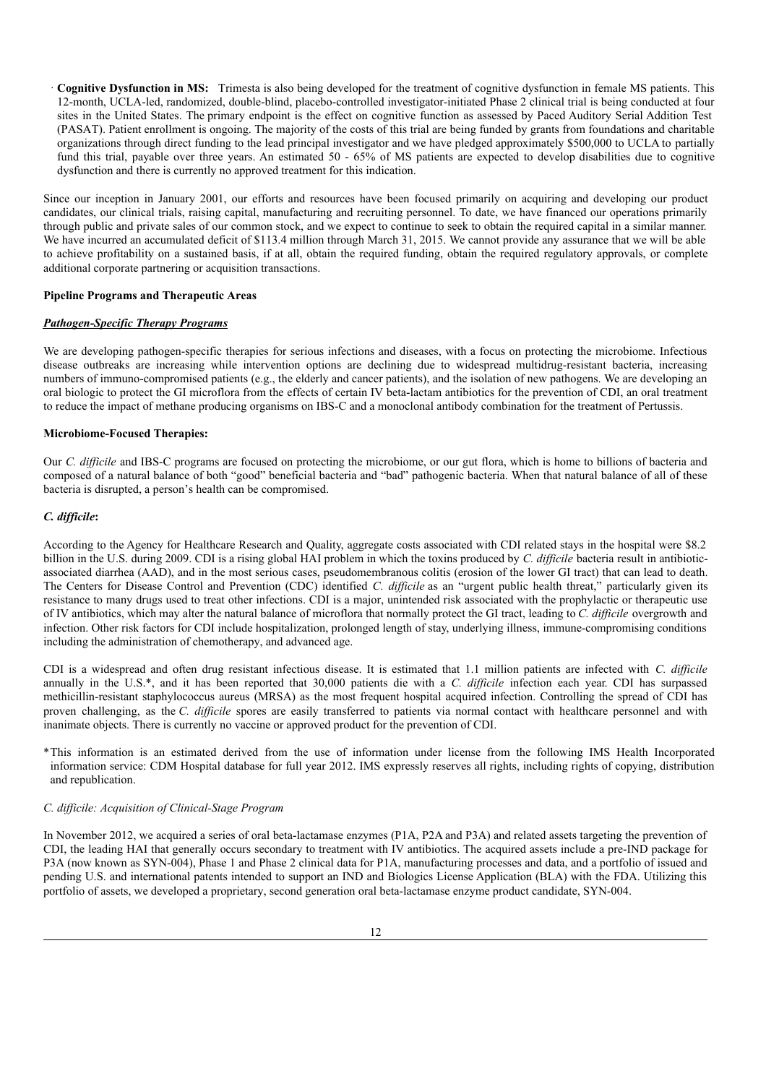· **Cognitive Dysfunction in MS:** Trimesta is also being developed for the treatment of cognitive dysfunction in female MS patients. This 12-month, UCLA-led, randomized, double-blind, placebo-controlled investigator-initiated Phase 2 clinical trial is being conducted at four sites in the United States. The primary endpoint is the effect on cognitive function as assessed by Paced Auditory Serial Addition Test (PASAT). Patient enrollment is ongoing. The majority of the costs of this trial are being funded by grants from foundations and charitable organizations through direct funding to the lead principal investigator and we have pledged approximately \$500,000 to UCLA to partially fund this trial, payable over three years. An estimated 50 - 65% of MS patients are expected to develop disabilities due to cognitive dysfunction and there is currently no approved treatment for this indication.

Since our inception in January 2001, our efforts and resources have been focused primarily on acquiring and developing our product candidates, our clinical trials, raising capital, manufacturing and recruiting personnel. To date, we have financed our operations primarily through public and private sales of our common stock, and we expect to continue to seek to obtain the required capital in a similar manner. We have incurred an accumulated deficit of \$113.4 million through March 31, 2015. We cannot provide any assurance that we will be able to achieve profitability on a sustained basis, if at all, obtain the required funding, obtain the required regulatory approvals, or complete additional corporate partnering or acquisition transactions.

# **Pipeline Programs and Therapeutic Areas**

# *Pathogen-Specific Therapy Programs*

We are developing pathogen-specific therapies for serious infections and diseases, with a focus on protecting the microbiome. Infectious disease outbreaks are increasing while intervention options are declining due to widespread multidrug-resistant bacteria, increasing numbers of immuno-compromised patients (e.g., the elderly and cancer patients), and the isolation of new pathogens. We are developing an oral biologic to protect the GI microflora from the effects of certain IV beta-lactam antibiotics for the prevention of CDI, an oral treatment to reduce the impact of methane producing organisms on IBS-C and a monoclonal antibody combination for the treatment of Pertussis.

# **Microbiome-Focused Therapies:**

Our *C. dif icile* and IBS-C programs are focused on protecting the microbiome, or our gut flora, which is home to billions of bacteria and composed of a natural balance of both "good" beneficial bacteria and "bad" pathogenic bacteria. When that natural balance of all of these bacteria is disrupted, a person's health can be compromised.

# *C. dif icile***:**

According to the Agency for Healthcare Research and Quality, aggregate costs associated with CDI related stays in the hospital were \$8.2 billion in the U.S. during 2009. CDI is a rising global HAI problem in which the toxins produced by *C. difficile* bacteria result in antibioticassociated diarrhea (AAD), and in the most serious cases, pseudomembranous colitis (erosion of the lower GI tract) that can lead to death. The Centers for Disease Control and Prevention (CDC) identified *C. difficile* as an "urgent public health threat," particularly given its resistance to many drugs used to treat other infections. CDI is a major, unintended risk associated with the prophylactic or therapeutic use of IV antibiotics, which may alter the natural balance of microflora that normally protect the GI tract, leading to *C. dif icile* overgrowth and infection. Other risk factors for CDI include hospitalization, prolonged length of stay, underlying illness, immune-compromising conditions including the administration of chemotherapy, and advanced age.

CDI is a widespread and often drug resistant infectious disease. It is estimated that 1.1 million patients are infected with *C. dif icile* annually in the U.S.\*, and it has been reported that 30,000 patients die with a *C. difficile* infection each year. CDI has surpassed methicillin-resistant staphylococcus aureus (MRSA) as the most frequent hospital acquired infection. Controlling the spread of CDI has proven challenging, as the *C. difficile* spores are easily transferred to patients via normal contact with healthcare personnel and with inanimate objects. There is currently no vaccine or approved product for the prevention of CDI.

\*This information is an estimated derived from the use of information under license from the following IMS Health Incorporated information service: CDM Hospital database for full year 2012. IMS expressly reserves all rights, including rights of copying, distribution and republication.

# *C. dif icile: Acquisition of Clinical-Stage Program*

In November 2012, we acquired a series of oral beta-lactamase enzymes (P1A, P2A and P3A) and related assets targeting the prevention of CDI, the leading HAI that generally occurs secondary to treatment with IV antibiotics. The acquired assets include a pre-IND package for P3A (now known as SYN-004), Phase 1 and Phase 2 clinical data for P1A, manufacturing processes and data, and a portfolio of issued and pending U.S. and international patents intended to support an IND and Biologics License Application (BLA) with the FDA. Utilizing this portfolio of assets, we developed a proprietary, second generation oral beta-lactamase enzyme product candidate, SYN-004.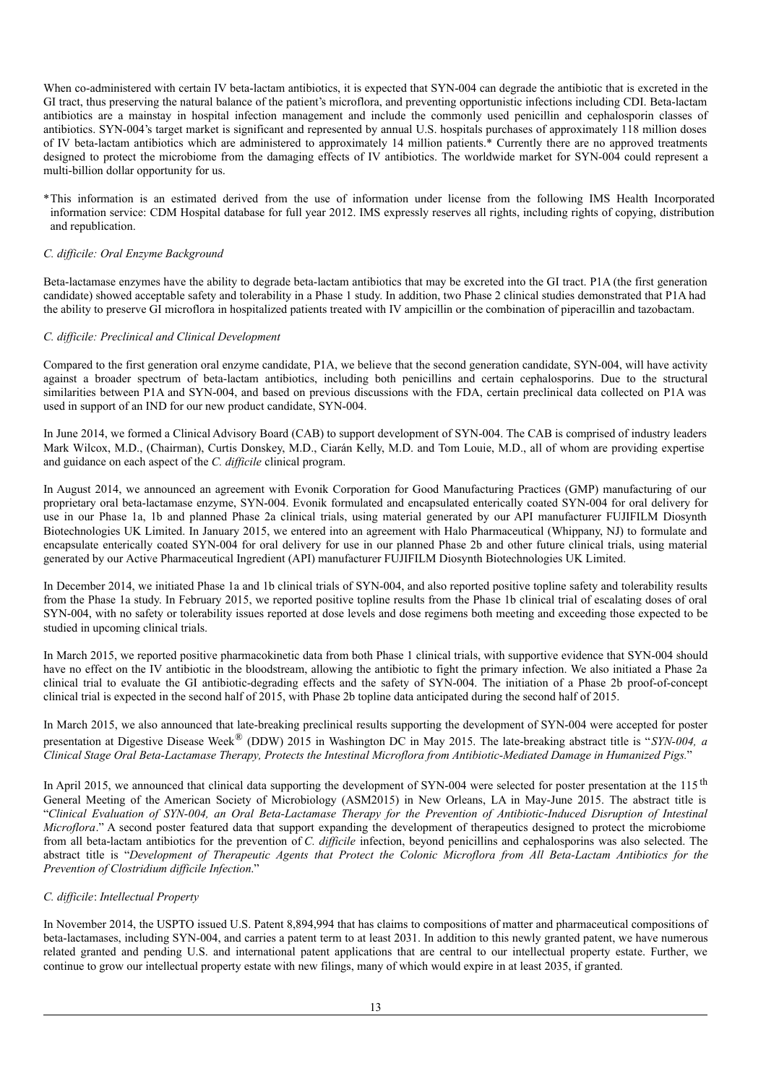When co-administered with certain IV beta-lactam antibiotics, it is expected that SYN-004 can degrade the antibiotic that is excreted in the GI tract, thus preserving the natural balance of the patient's microflora, and preventing opportunistic infections including CDI. Beta-lactam antibiotics are a mainstay in hospital infection management and include the commonly used penicillin and cephalosporin classes of antibiotics. SYN-004's target market is significant and represented by annual U.S. hospitals purchases of approximately 118 million doses of IV beta-lactam antibiotics which are administered to approximately 14 million patients.\* Currently there are no approved treatments designed to protect the microbiome from the damaging effects of IV antibiotics. The worldwide market for SYN-004 could represent a multi-billion dollar opportunity for us.

\*This information is an estimated derived from the use of information under license from the following IMS Health Incorporated information service: CDM Hospital database for full year 2012. IMS expressly reserves all rights, including rights of copying, distribution and republication.

# *C. dif icile: Oral Enzyme Background*

Beta-lactamase enzymes have the ability to degrade beta-lactam antibiotics that may be excreted into the GI tract. P1A (the first generation candidate) showed acceptable safety and tolerability in a Phase 1 study. In addition, two Phase 2 clinical studies demonstrated that P1A had the ability to preserve GI microflora in hospitalized patients treated with IV ampicillin or the combination of piperacillin and tazobactam.

# *C. dif icile: Preclinical and Clinical Development*

Compared to the first generation oral enzyme candidate, P1A, we believe that the second generation candidate, SYN-004, will have activity against a broader spectrum of beta-lactam antibiotics, including both penicillins and certain cephalosporins. Due to the structural similarities between P1A and SYN-004, and based on previous discussions with the FDA, certain preclinical data collected on P1A was used in support of an IND for our new product candidate, SYN-004.

In June 2014, we formed a Clinical Advisory Board (CAB) to support development of SYN-004. The CAB is comprised of industry leaders Mark Wilcox, M.D., (Chairman), Curtis Donskey, M.D., Ciarán Kelly, M.D. and Tom Louie, M.D., all of whom are providing expertise and guidance on each aspect of the *C. difficile* clinical program.

In August 2014, we announced an agreement with Evonik Corporation for Good Manufacturing Practices (GMP) manufacturing of our proprietary oral beta-lactamase enzyme, SYN-004. Evonik formulated and encapsulated enterically coated SYN-004 for oral delivery for use in our Phase 1a, 1b and planned Phase 2a clinical trials, using material generated by our API manufacturer FUJIFILM Diosynth Biotechnologies UK Limited. In January 2015, we entered into an agreement with Halo Pharmaceutical (Whippany, NJ) to formulate and encapsulate enterically coated SYN-004 for oral delivery for use in our planned Phase 2b and other future clinical trials, using material generated by our Active Pharmaceutical Ingredient (API) manufacturer FUJIFILM Diosynth Biotechnologies UK Limited.

In December 2014, we initiated Phase 1a and 1b clinical trials of SYN-004, and also reported positive topline safety and tolerability results from the Phase 1a study. In February 2015, we reported positive topline results from the Phase 1b clinical trial of escalating doses of oral SYN-004, with no safety or tolerability issues reported at dose levels and dose regimens both meeting and exceeding those expected to be studied in upcoming clinical trials.

In March 2015, we reported positive pharmacokinetic data from both Phase 1 clinical trials, with supportive evidence that SYN-004 should have no effect on the IV antibiotic in the bloodstream, allowing the antibiotic to fight the primary infection. We also initiated a Phase 2a clinical trial to evaluate the GI antibiotic-degrading effects and the safety of SYN-004. The initiation of a Phase 2b proof-of-concept clinical trial is expected in the second half of 2015, with Phase 2b topline data anticipated during the second half of 2015.

In March 2015, we also announced that late-breaking preclinical results supporting the development of SYN-004 were accepted for poster presentation at Digestive Disease Week ® (DDW) 2015 in Washington DC in May 2015. The late-breaking abstract title is "*SYN-004, a* Clinical Stage Oral Beta-Lactamase Therapy, Protects the Intestinal Microflora from Antibiotic-Mediated Damage in Humanized Pigs."

In April 2015, we announced that clinical data supporting the development of SYN-004 were selected for poster presentation at the 115<sup>th</sup> General Meeting of the American Society of Microbiology (ASM2015) in New Orleans, LA in May-June 2015. The abstract title is "Clinical Evaluation of SYN-004, an Oral Beta-Lactamase Therapy for the Prevention of Antibiotic-Induced Disruption of Intestinal *Microflora*." A second poster featured data that support expanding the development of therapeutics designed to protect the microbiome from all beta-lactam antibiotics for the prevention of *C. dif icile* infection, beyond penicillins and cephalosporins was also selected. The abstract title is "Development of Therapeutic Agents that Protect the Colonic Microflora from All Beta-Lactam Antibiotics for the *Prevention of Clostridium dif icile Infection*."

# *C. dif icile*: *Intellectual Property*

In November 2014, the USPTO issued U.S. Patent 8,894,994 that has claims to compositions of matter and pharmaceutical compositions of beta-lactamases, including SYN-004, and carries a patent term to at least 2031. In addition to this newly granted patent, we have numerous related granted and pending U.S. and international patent applications that are central to our intellectual property estate. Further, we continue to grow our intellectual property estate with new filings, many of which would expire in at least 2035, if granted.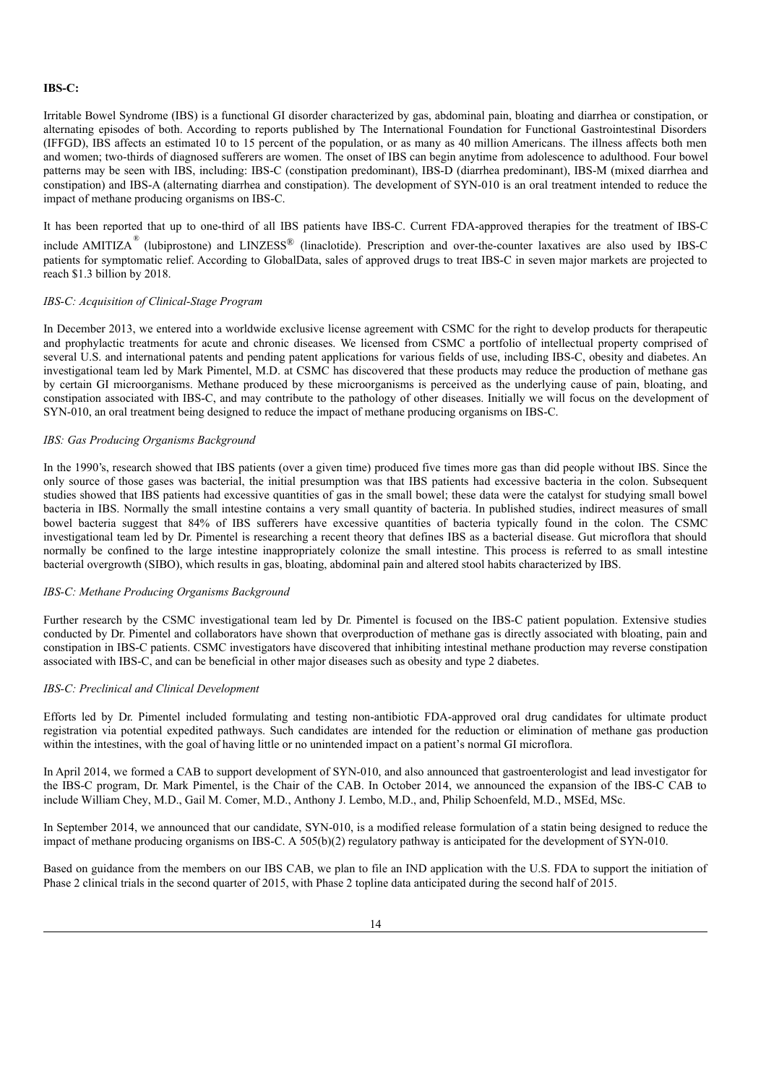### **IBS-C:**

Irritable Bowel Syndrome (IBS) is a functional GI disorder characterized by gas, abdominal pain, bloating and diarrhea or constipation, or alternating episodes of both. According to reports published by The International Foundation for Functional Gastrointestinal Disorders (IFFGD), IBS affects an estimated 10 to 15 percent of the population, or as many as 40 million Americans. The illness affects both men and women; two-thirds of diagnosed sufferers are women. The onset of IBS can begin anytime from adolescence to adulthood. Four bowel patterns may be seen with IBS, including: IBS-C (constipation predominant), IBS-D (diarrhea predominant), IBS-M (mixed diarrhea and constipation) and IBS-A (alternating diarrhea and constipation). The development of SYN-010 is an oral treatment intended to reduce the impact of methane producing organisms on IBS-C.

It has been reported that up to one-third of all IBS patients have IBS-C. Current FDA-approved therapies for the treatment of IBS-C include AMITIZA<sup>®</sup> (lubiprostone) and LINZESS<sup>®</sup> (linaclotide). Prescription and over-the-counter laxatives are also used by IBS-C patients for symptomatic relief. According to GlobalData, sales of approved drugs to treat IBS-C in seven major markets are projected to reach \$1.3 billion by 2018.

# *IBS-C: Acquisition of Clinical-Stage Program*

In December 2013, we entered into a worldwide exclusive license agreement with CSMC for the right to develop products for therapeutic and prophylactic treatments for acute and chronic diseases. We licensed from CSMC a portfolio of intellectual property comprised of several U.S. and international patents and pending patent applications for various fields of use, including IBS-C, obesity and diabetes. An investigational team led by Mark Pimentel, M.D. at CSMC has discovered that these products may reduce the production of methane gas by certain GI microorganisms. Methane produced by these microorganisms is perceived as the underlying cause of pain, bloating, and constipation associated with IBS-C, and may contribute to the pathology of other diseases. Initially we will focus on the development of SYN-010, an oral treatment being designed to reduce the impact of methane producing organisms on IBS-C.

### *IBS: Gas Producing Organisms Background*

In the 1990's, research showed that IBS patients (over a given time) produced five times more gas than did people without IBS. Since the only source of those gases was bacterial, the initial presumption was that IBS patients had excessive bacteria in the colon. Subsequent studies showed that IBS patients had excessive quantities of gas in the small bowel; these data were the catalyst for studying small bowel bacteria in IBS. Normally the small intestine contains a very small quantity of bacteria. In published studies, indirect measures of small bowel bacteria suggest that 84% of IBS sufferers have excessive quantities of bacteria typically found in the colon. The CSMC investigational team led by Dr. Pimentel is researching a recent theory that defines IBS as a bacterial disease. Gut microflora that should normally be confined to the large intestine inappropriately colonize the small intestine. This process is referred to as small intestine bacterial overgrowth (SIBO), which results in gas, bloating, abdominal pain and altered stool habits characterized by IBS.

### *IBS-C: Methane Producing Organisms Background*

Further research by the CSMC investigational team led by Dr. Pimentel is focused on the IBS-C patient population. Extensive studies conducted by Dr. Pimentel and collaborators have shown that overproduction of methane gas is directly associated with bloating, pain and constipation in IBS-C patients. CSMC investigators have discovered that inhibiting intestinal methane production may reverse constipation associated with IBS-C, and can be beneficial in other major diseases such as obesity and type 2 diabetes.

### *IBS-C: Preclinical and Clinical Development*

Efforts led by Dr. Pimentel included formulating and testing non-antibiotic FDA-approved oral drug candidates for ultimate product registration via potential expedited pathways. Such candidates are intended for the reduction or elimination of methane gas production within the intestines, with the goal of having little or no unintended impact on a patient's normal GI microflora.

In April 2014, we formed a CAB to support development of SYN-010, and also announced that gastroenterologist and lead investigator for the IBS-C program, Dr. Mark Pimentel, is the Chair of the CAB. In October 2014, we announced the expansion of the IBS-C CAB to include William Chey, M.D., Gail M. Comer, M.D., Anthony J. Lembo, M.D., and, Philip Schoenfeld, M.D., MSEd, MSc.

In September 2014, we announced that our candidate, SYN-010, is a modified release formulation of a statin being designed to reduce the impact of methane producing organisms on IBS-C. A 505(b)(2) regulatory pathway is anticipated for the development of SYN-010.

Based on guidance from the members on our IBS CAB, we plan to file an IND application with the U.S. FDA to support the initiation of Phase 2 clinical trials in the second quarter of 2015, with Phase 2 topline data anticipated during the second half of 2015.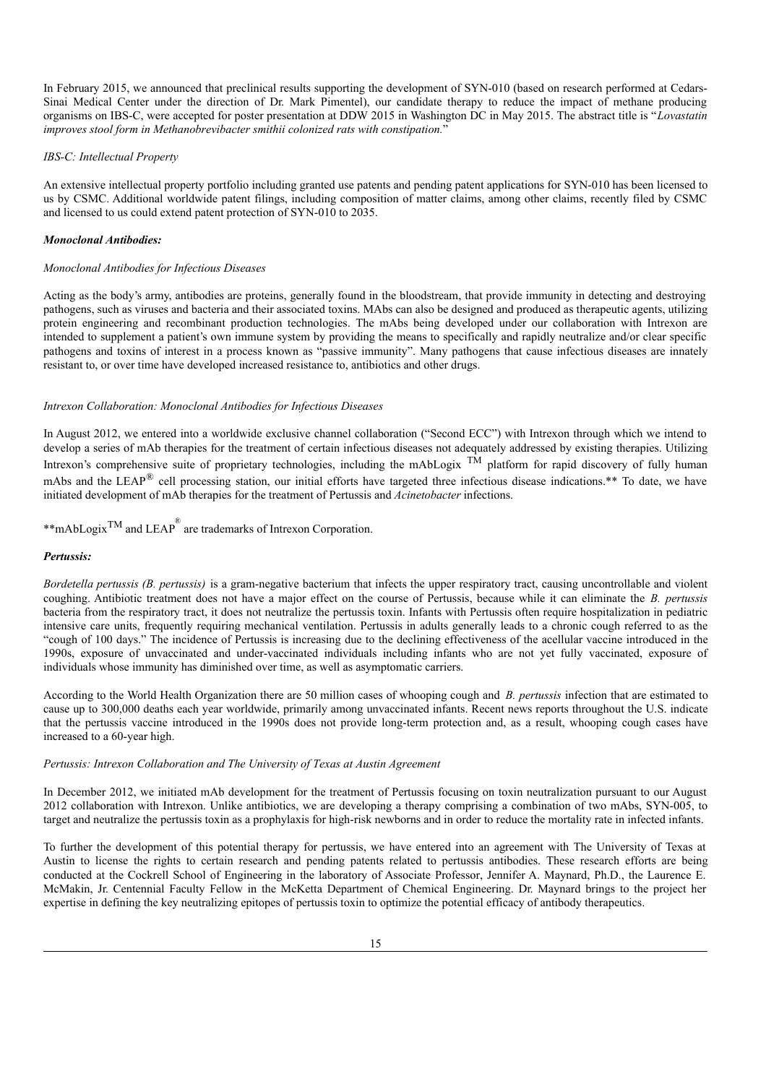In February 2015, we announced that preclinical results supporting the development of SYN-010 (based on research performed at Cedars-Sinai Medical Center under the direction of Dr. Mark Pimentel), our candidate therapy to reduce the impact of methane producing organisms on IBS-C, were accepted for poster presentation at DDW 2015 in Washington DC in May 2015. The abstract title is "*Lovastatin improves stool form in Methanobrevibacter smithii colonized rats with constipation.*"

### *IBS-C: Intellectual Property*

An extensive intellectual property portfolio including granted use patents and pending patent applications for SYN-010 has been licensed to us by CSMC. Additional worldwide patent filings, including composition of matter claims, among other claims, recently filed by CSMC and licensed to us could extend patent protection of SYN-010 to 2035.

### *Monoclonal Antibodies:*

### *Monoclonal Antibodies for Infectious Diseases*

Acting as the body's army, antibodies are proteins, generally found in the bloodstream, that provide immunity in detecting and destroying pathogens, such as viruses and bacteria and their associated toxins. MAbs can also be designed and produced as therapeutic agents, utilizing protein engineering and recombinant production technologies. The mAbs being developed under our collaboration with Intrexon are intended to supplement a patient's own immune system by providing the means to specifically and rapidly neutralize and/or clear specific pathogens and toxins of interest in a process known as "passive immunity". Many pathogens that cause infectious diseases are innately resistant to, or over time have developed increased resistance to, antibiotics and other drugs.

# *Intrexon Collaboration: Monoclonal Antibodies for Infectious Diseases*

In August 2012, we entered into a worldwide exclusive channel collaboration ("Second ECC") with Intrexon through which we intend to develop a series of mAb therapies for the treatment of certain infectious diseases not adequately addressed by existing therapies. Utilizing Intrexon's comprehensive suite of proprietary technologies, including the mAbLogix  $TM$  platform for rapid discovery of fully human mAbs and the LEAP<sup>®</sup> cell processing station, our initial efforts have targeted three infectious disease indications.<sup>\*\*</sup> To date, we have initiated development of mAb therapies for the treatment of Pertussis and *Acinetobacter* infections.

# \*\*mAbLogix<sup>TM</sup> and LEAP<sup>®</sup> are trademarks of Intrexon Corporation.

#### *Pertussis:*

*Bordetella pertussis (B. pertussis)* is a gram-negative bacterium that infects the upper respiratory tract, causing uncontrollable and violent coughing. Antibiotic treatment does not have a major effect on the course of Pertussis, because while it can eliminate the *B. pertussis* bacteria from the respiratory tract, it does not neutralize the pertussis toxin. Infants with Pertussis often require hospitalization in pediatric intensive care units, frequently requiring mechanical ventilation. Pertussis in adults generally leads to a chronic cough referred to as the "cough of 100 days." The incidence of Pertussis is increasing due to the declining effectiveness of the acellular vaccine introduced in the 1990s, exposure of unvaccinated and under-vaccinated individuals including infants who are not yet fully vaccinated, exposure of individuals whose immunity has diminished over time, as well as asymptomatic carriers.

According to the World Health Organization there are 50 million cases of whooping cough and *B. pertussis* infection that are estimated to cause up to 300,000 deaths each year worldwide, primarily among unvaccinated infants. Recent news reports throughout the U.S. indicate that the pertussis vaccine introduced in the 1990s does not provide long-term protection and, as a result, whooping cough cases have increased to a 60-year high.

#### *Pertussis: Intrexon Collaboration and The University of Texas at Austin Agreement*

In December 2012, we initiated mAb development for the treatment of Pertussis focusing on toxin neutralization pursuant to our August 2012 collaboration with Intrexon. Unlike antibiotics, we are developing a therapy comprising a combination of two mAbs, SYN-005, to target and neutralize the pertussis toxin as a prophylaxis for high-risk newborns and in order to reduce the mortality rate in infected infants.

To further the development of this potential therapy for pertussis, we have entered into an agreement with The University of Texas at Austin to license the rights to certain research and pending patents related to pertussis antibodies. These research efforts are being conducted at the Cockrell School of Engineering in the laboratory of Associate Professor, Jennifer A. Maynard, Ph.D., the Laurence E. McMakin, Jr. Centennial Faculty Fellow in the McKetta Department of Chemical Engineering. Dr. Maynard brings to the project her expertise in defining the key neutralizing epitopes of pertussis toxin to optimize the potential efficacy of antibody therapeutics.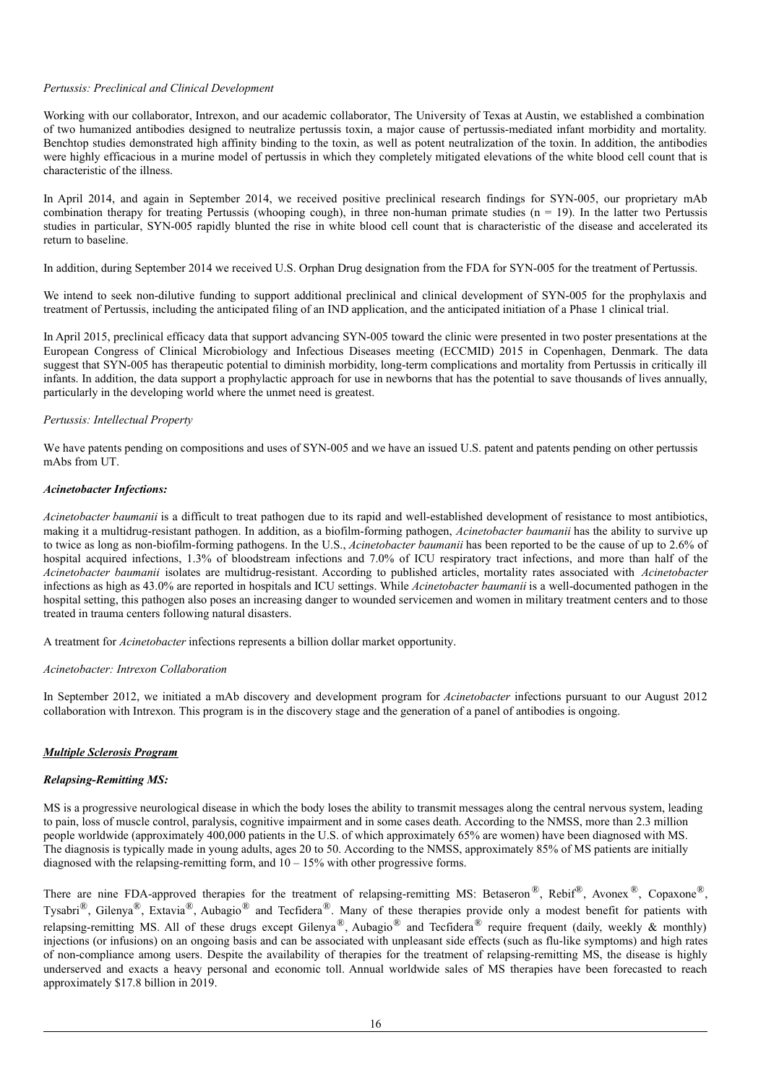# *Pertussis: Preclinical and Clinical Development*

Working with our collaborator, Intrexon, and our academic collaborator, The University of Texas at Austin, we established a combination of two humanized antibodies designed to neutralize pertussis toxin, a major cause of pertussis-mediated infant morbidity and mortality. Benchtop studies demonstrated high affinity binding to the toxin, as well as potent neutralization of the toxin. In addition, the antibodies were highly efficacious in a murine model of pertussis in which they completely mitigated elevations of the white blood cell count that is characteristic of the illness.

In April 2014, and again in September 2014, we received positive preclinical research findings for SYN-005, our proprietary mAb combination therapy for treating Pertussis (whooping cough), in three non-human primate studies  $(n = 19)$ . In the latter two Pertussis studies in particular, SYN-005 rapidly blunted the rise in white blood cell count that is characteristic of the disease and accelerated its return to baseline.

In addition, during September 2014 we received U.S. Orphan Drug designation from the FDA for SYN-005 for the treatment of Pertussis.

We intend to seek non-dilutive funding to support additional preclinical and clinical development of SYN-005 for the prophylaxis and treatment of Pertussis, including the anticipated filing of an IND application, and the anticipated initiation of a Phase 1 clinical trial.

In April 2015, preclinical efficacy data that support advancing SYN-005 toward the clinic were presented in two poster presentations at the European Congress of Clinical Microbiology and Infectious Diseases meeting (ECCMID) 2015 in Copenhagen, Denmark. The data suggest that SYN-005 has therapeutic potential to diminish morbidity, long-term complications and mortality from Pertussis in critically ill infants. In addition, the data support a prophylactic approach for use in newborns that has the potential to save thousands of lives annually, particularly in the developing world where the unmet need is greatest.

# *Pertussis: Intellectual Property*

We have patents pending on compositions and uses of SYN-005 and we have an issued U.S. patent and patents pending on other pertussis mAbs from UT.

# *Acinetobacter Infections:*

*Acinetobacter baumanii* is a difficult to treat pathogen due to its rapid and well-established development of resistance to most antibiotics, making it a multidrug-resistant pathogen. In addition, as a biofilm-forming pathogen, *Acinetobacter baumanii* has the ability to survive up to twice as long as non-biofilm-forming pathogens. In the U.S., *Acinetobacter baumanii* has been reported to be the cause of up to 2.6% of hospital acquired infections, 1.3% of bloodstream infections and 7.0% of ICU respiratory tract infections, and more than half of the *Acinetobacter baumanii* isolates are multidrug-resistant. According to published articles, mortality rates associated with *Acinetobacter* infections as high as 43.0% are reported in hospitals and ICU settings. While *Acinetobacter baumanii* is a well-documented pathogen in the hospital setting, this pathogen also poses an increasing danger to wounded servicemen and women in military treatment centers and to those treated in trauma centers following natural disasters.

A treatment for *Acinetobacter* infections represents a billion dollar market opportunity.

# *Acinetobacter: Intrexon Collaboration*

In September 2012, we initiated a mAb discovery and development program for *Acinetobacter* infections pursuant to our August 2012 collaboration with Intrexon. This program is in the discovery stage and the generation of a panel of antibodies is ongoing.

# *Multiple Sclerosis Program*

# *Relapsing-Remitting MS:*

MS is a progressive neurological disease in which the body loses the ability to transmit messages along the central nervous system, leading to pain, loss of muscle control, paralysis, cognitive impairment and in some cases death. According to the NMSS, more than 2.3 million people worldwide (approximately 400,000 patients in the U.S. of which approximately 65% are women) have been diagnosed with MS. The diagnosis is typically made in young adults, ages 20 to 50. According to the NMSS, approximately 85% of MS patients are initially diagnosed with the relapsing-remitting form, and  $10 - 15\%$  with other progressive forms.

There are nine FDA-approved therapies for the treatment of relapsing-remitting MS: Betaseron<sup>®</sup>, Rebif<sup>®</sup>, Avonex<sup>®</sup>, Copaxone<sup>®</sup>, Tysabri<sup>®</sup>, Gilenya<sup>®</sup>, Extavia<sup>®</sup>, Aubagio<sup>®</sup> and Tecfidera<sup>®</sup>. Many of these therapies provide only a modest benefit for patients with relapsing-remitting MS. All of these drugs except Gilenya<sup>®</sup>, Aubagio<sup>®</sup> and Tecfidera<sup>®</sup> require frequent (daily, weekly & monthly) injections (or infusions) on an ongoing basis and can be associated with unpleasant side effects (such as flu-like symptoms) and high rates of non-compliance among users. Despite the availability of therapies for the treatment of relapsing-remitting MS, the disease is highly underserved and exacts a heavy personal and economic toll. Annual worldwide sales of MS therapies have been forecasted to reach approximately \$17.8 billion in 2019.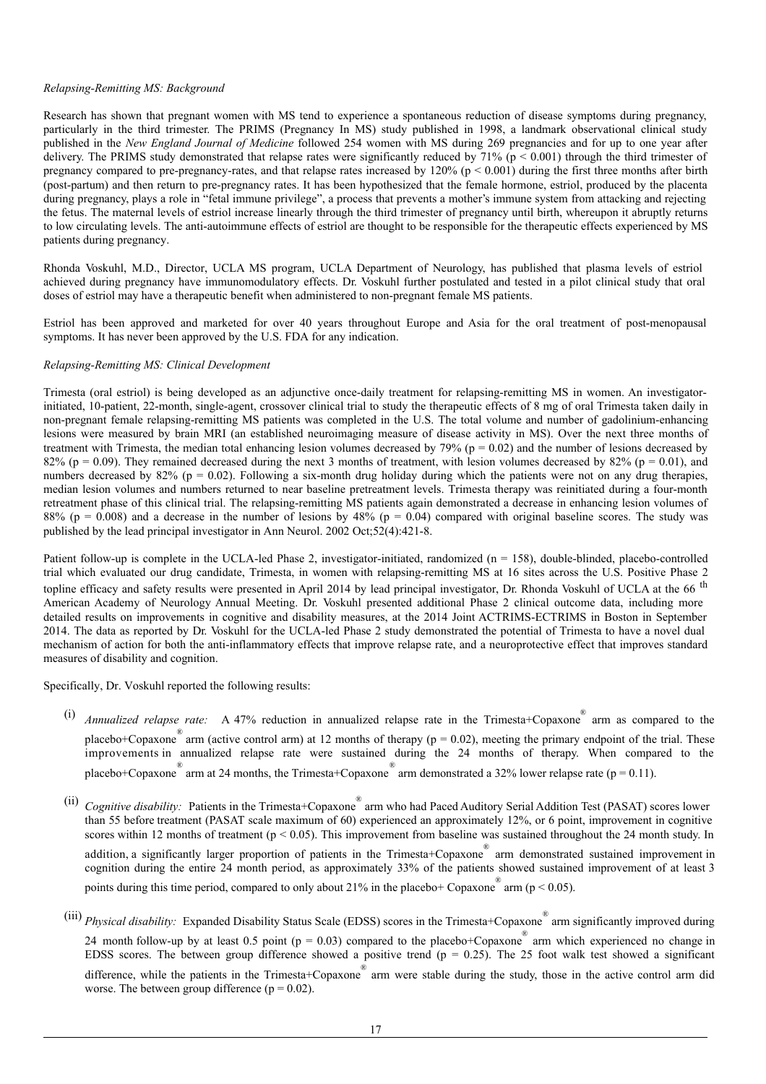### *Relapsing-Remitting MS: Background*

Research has shown that pregnant women with MS tend to experience a spontaneous reduction of disease symptoms during pregnancy, particularly in the third trimester. The PRIMS (Pregnancy In MS) study published in 1998, a landmark observational clinical study published in the *New England Journal of Medicine* followed 254 women with MS during 269 pregnancies and for up to one year after delivery. The PRIMS study demonstrated that relapse rates were significantly reduced by  $71\%$  (p < 0.001) through the third trimester of pregnancy compared to pre-pregnancy-rates, and that relapse rates increased by 120% (p < 0.001) during the first three months after birth (post-partum) and then return to pre-pregnancy rates. It has been hypothesized that the female hormone, estriol, produced by the placenta during pregnancy, plays a role in "fetal immune privilege", a process that prevents a mother's immune system from attacking and rejecting the fetus. The maternal levels of estriol increase linearly through the third trimester of pregnancy until birth, whereupon it abruptly returns to low circulating levels. The anti-autoimmune effects of estriol are thought to be responsible for the therapeutic effects experienced by MS patients during pregnancy.

Rhonda Voskuhl, M.D., Director, UCLA MS program, UCLA Department of Neurology, has published that plasma levels of estriol achieved during pregnancy have immunomodulatory effects. Dr. Voskuhl further postulated and tested in a pilot clinical study that oral doses of estriol may have a therapeutic benefit when administered to non-pregnant female MS patients.

Estriol has been approved and marketed for over 40 years throughout Europe and Asia for the oral treatment of post-menopausal symptoms. It has never been approved by the U.S. FDA for any indication.

### *Relapsing-Remitting MS: Clinical Development*

Trimesta (oral estriol) is being developed as an adjunctive once-daily treatment for relapsing-remitting MS in women. An investigatorinitiated, 10-patient, 22-month, single-agent, crossover clinical trial to study the therapeutic effects of 8 mg of oral Trimesta taken daily in non-pregnant female relapsing-remitting MS patients was completed in the U.S. The total volume and number of gadolinium-enhancing lesions were measured by brain MRI (an established neuroimaging measure of disease activity in MS). Over the next three months of treatment with Trimesta, the median total enhancing lesion volumes decreased by 79% ( $p = 0.02$ ) and the number of lesions decreased by 82% (p = 0.09). They remained decreased during the next 3 months of treatment, with lesion volumes decreased by 82% (p = 0.01), and numbers decreased by 82% ( $p = 0.02$ ). Following a six-month drug holiday during which the patients were not on any drug therapies, median lesion volumes and numbers returned to near baseline pretreatment levels. Trimesta therapy was reinitiated during a four-month retreatment phase of this clinical trial. The relapsing-remitting MS patients again demonstrated a decrease in enhancing lesion volumes of 88% (p = 0.008) and a decrease in the number of lesions by 48% (p = 0.04) compared with original baseline scores. The study was published by the lead principal investigator in Ann Neurol. 2002 Oct;52(4):421-8.

Patient follow-up is complete in the UCLA-led Phase 2, investigator-initiated, randomized (n = 158), double-blinded, placebo-controlled trial which evaluated our drug candidate, Trimesta, in women with relapsing-remitting MS at 16 sites across the U.S. Positive Phase 2 topline efficacy and safety results were presented in April 2014 by lead principal investigator, Dr. Rhonda Voskuhl of UCLA at the 66<sup>th</sup> American Academy of Neurology Annual Meeting. Dr. Voskuhl presented additional Phase 2 clinical outcome data, including more detailed results on improvements in cognitive and disability measures, at the 2014 Joint ACTRIMS-ECTRIMS in Boston in September 2014. The data as reported by Dr. Voskuhl for the UCLA-led Phase 2 study demonstrated the potential of Trimesta to have a novel dual mechanism of action for both the anti-inflammatory effects that improve relapse rate, and a neuroprotective effect that improves standard measures of disability and cognition.

Specifically, Dr. Voskuhl reported the following results:

- (i) *Annualized relapse rate:* <sup>A</sup> 47% reduction in annualized relapse rate in the Trimesta+Copaxone ® arm as compared to the placebo+Copaxone  $\degree$  arm (active control arm) at 12 months of therapy ( $p = 0.02$ ), meeting the primary endpoint of the trial. These improvements in annualized relapse rate were sustained during the 24 months of therapy. When compared to the placebo+Copaxone  $\degree$  arm at 24 months, the Trimesta+Copaxone  $\degree$  arm demonstrated a 32% lower relapse rate (p = 0.11).
- (ii) *Cognitive disability:* Patients in the Trimesta+Copaxone ® arm who had Paced Auditory Serial Addition Test (PASAT) scores lower than 55 before treatment (PASAT scale maximum of 60) experienced an approximately 12%, or 6 point, improvement in cognitive scores within 12 months of treatment ( $p < 0.05$ ). This improvement from baseline was sustained throughout the 24 month study. In addition, a significantly larger proportion of patients in the Trimesta+Copaxone arm demonstrated sustained improvement in cognition during the entire 24 month period, as approximately 33% of the patients showed sustained improvement of at least 3 points during this time period, compared to only about 21% in the placebo+ Copaxone  $\degree$  arm (p < 0.05).
- (iii) *Physical disability:* Expanded Disability Status Scale (EDSS) scores in the Trimesta+Copaxone ® arm significantly improved during 24 month follow-up by at least 0.5 point ( $p = 0.03$ ) compared to the placebo+Copaxone arm which experienced no change in EDSS scores. The between group difference showed a positive trend ( $p = 0.25$ ). The 25 foot walk test showed a significant difference, while the patients in the Trimesta+Copaxone arm were stable during the study, those in the active control arm did worse. The between group difference ( $p = 0.02$ ).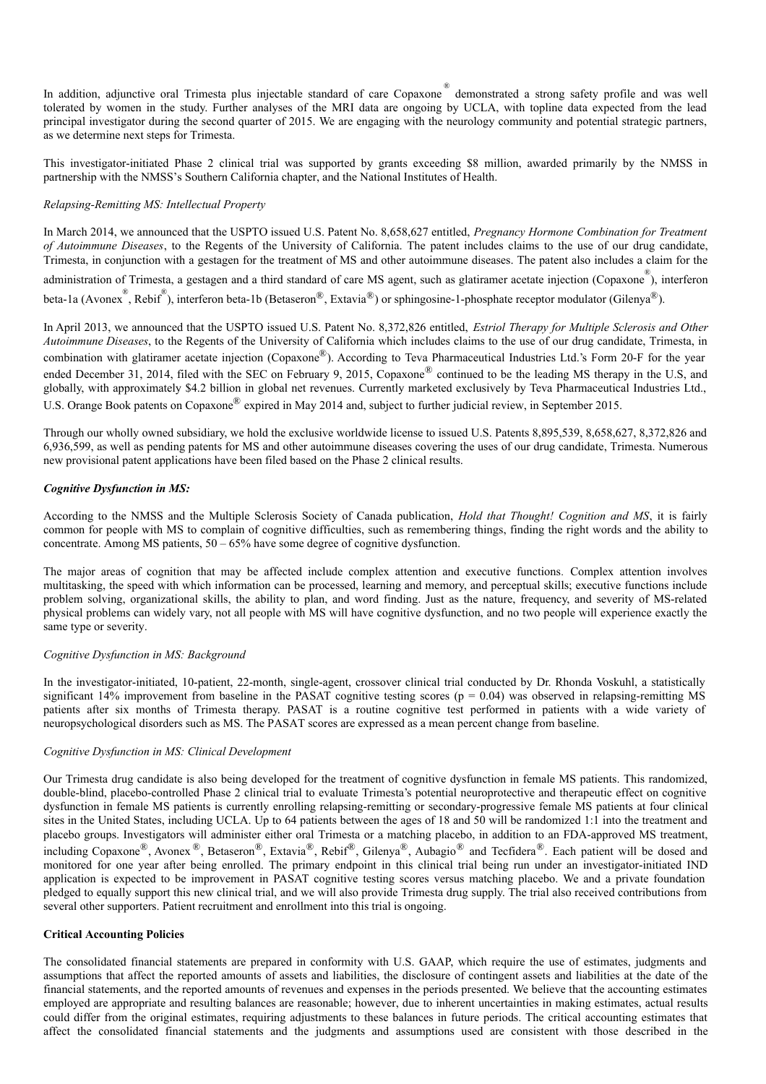In addition, adjunctive oral Trimesta plus injectable standard of care Copaxone<sup>®</sup> demonstrated a strong safety profile and was well tolerated by women in the study. Further analyses of the MRI data are ongoing by UCLA, with topline data expected from the lead principal investigator during the second quarter of 2015. We are engaging with the neurology community and potential strategic partners, as we determine next steps for Trimesta.

This investigator-initiated Phase 2 clinical trial was supported by grants exceeding \$8 million, awarded primarily by the NMSS in partnership with the NMSS's Southern California chapter, and the National Institutes of Health.

# *Relapsing-Remitting MS: Intellectual Property*

In March 2014, we announced that the USPTO issued U.S. Patent No. 8,658,627 entitled, *Pregnancy Hormone Combination for Treatment of Autoimmune Diseases*, to the Regents of the University of California. The patent includes claims to the use of our drug candidate, Trimesta, in conjunction with a gestagen for the treatment of MS and other autoimmune diseases. The patent also includes a claim for the

administration of Trimesta, a gestagen and a third standard of care MS agent, such as glatiramer acetate injection (Copaxone®), interferon beta-1a (Avonex<sup>®</sup>, Rebif<sup>®</sup>), interferon beta-1b (Betaseron<sup>®</sup>, Extavia<sup>®</sup>) or sphingosine-1-phosphate receptor modulator (Gilenya<sup>®</sup>).

In April 2013, we announced that the USPTO issued U.S. Patent No. 8,372,826 entitled, *Estriol Therapy for Multiple Sclerosis and Other Autoimmune Diseases*, to the Regents of the University of California which includes claims to the use of our drug candidate, Trimesta, in combination with glatiramer acetate injection (Copaxone®). According to Teva Pharmaceutical Industries Ltd.'s Form 20-F for the year ended December 31, 2014, filed with the SEC on February 9, 2015, Copaxone<sup>®</sup> continued to be the leading MS therapy in the U.S, and globally, with approximately \$4.2 billion in global net revenues. Currently marketed exclusively by Teva Pharmaceutical Industries Ltd., U.S. Orange Book patents on Copaxone<sup>®</sup> expired in May 2014 and, subject to further judicial review, in September 2015.

Through our wholly owned subsidiary, we hold the exclusive worldwide license to issued U.S. Patents 8,895,539, 8,658,627, 8,372,826 and 6,936,599, as well as pending patents for MS and other autoimmune diseases covering the uses of our drug candidate, Trimesta. Numerous new provisional patent applications have been filed based on the Phase 2 clinical results.

# *Cognitive Dysfunction in MS:*

According to the NMSS and the Multiple Sclerosis Society of Canada publication, *Hold that Thought! Cognition and MS*, it is fairly common for people with MS to complain of cognitive difficulties, such as remembering things, finding the right words and the ability to concentrate. Among MS patients,  $50 - 65\%$  have some degree of cognitive dysfunction.

The major areas of cognition that may be affected include complex attention and executive functions*.* Complex attention involves multitasking, the speed with which information can be processed, learning and memory, and perceptual skills; executive functions include problem solving, organizational skills, the ability to plan, and word finding. Just as the nature, frequency, and severity of MS-related physical problems can widely vary, not all people with MS will have cognitive dysfunction, and no two people will experience exactly the same type or severity.

# *Cognitive Dysfunction in MS: Background*

In the investigator-initiated, 10-patient, 22-month, single-agent, crossover clinical trial conducted by Dr. Rhonda Voskuhl, a statistically significant 14% improvement from baseline in the PASAT cognitive testing scores ( $p = 0.04$ ) was observed in relapsing-remitting MS patients after six months of Trimesta therapy. PASAT is a routine cognitive test performed in patients with a wide variety of neuropsychological disorders such as MS. The PASAT scores are expressed as a mean percent change from baseline.

# *Cognitive Dysfunction in MS: Clinical Development*

Our Trimesta drug candidate is also being developed for the treatment of cognitive dysfunction in female MS patients. This randomized, double-blind, placebo-controlled Phase 2 clinical trial to evaluate Trimesta's potential neuroprotective and therapeutic effect on cognitive dysfunction in female MS patients is currently enrolling relapsing-remitting or secondary-progressive female MS patients at four clinical sites in the United States, including UCLA. Up to 64 patients between the ages of 18 and 50 will be randomized 1:1 into the treatment and placebo groups. Investigators will administer either oral Trimesta or a matching placebo, in addition to an FDA-approved MS treatment, including Copaxone®, Avonex®, Betaseron®, Extavia®, Rebif<sup>®</sup>, Gilenya®, Aubagio<sup>®</sup> and Tecfidera®. Each patient will be dosed and monitored for one year after being enrolled. The primary endpoint in this clinical trial being run under an investigator-initiated IND application is expected to be improvement in PASAT cognitive testing scores versus matching placebo. We and a private foundation pledged to equally support this new clinical trial, and we will also provide Trimesta drug supply. The trial also received contributions from several other supporters. Patient recruitment and enrollment into this trial is ongoing.

# **Critical Accounting Policies**

The consolidated financial statements are prepared in conformity with U.S. GAAP, which require the use of estimates, judgments and assumptions that affect the reported amounts of assets and liabilities, the disclosure of contingent assets and liabilities at the date of the financial statements, and the reported amounts of revenues and expenses in the periods presented. We believe that the accounting estimates employed are appropriate and resulting balances are reasonable; however, due to inherent uncertainties in making estimates, actual results could differ from the original estimates, requiring adjustments to these balances in future periods. The critical accounting estimates that affect the consolidated financial statements and the judgments and assumptions used are consistent with those described in the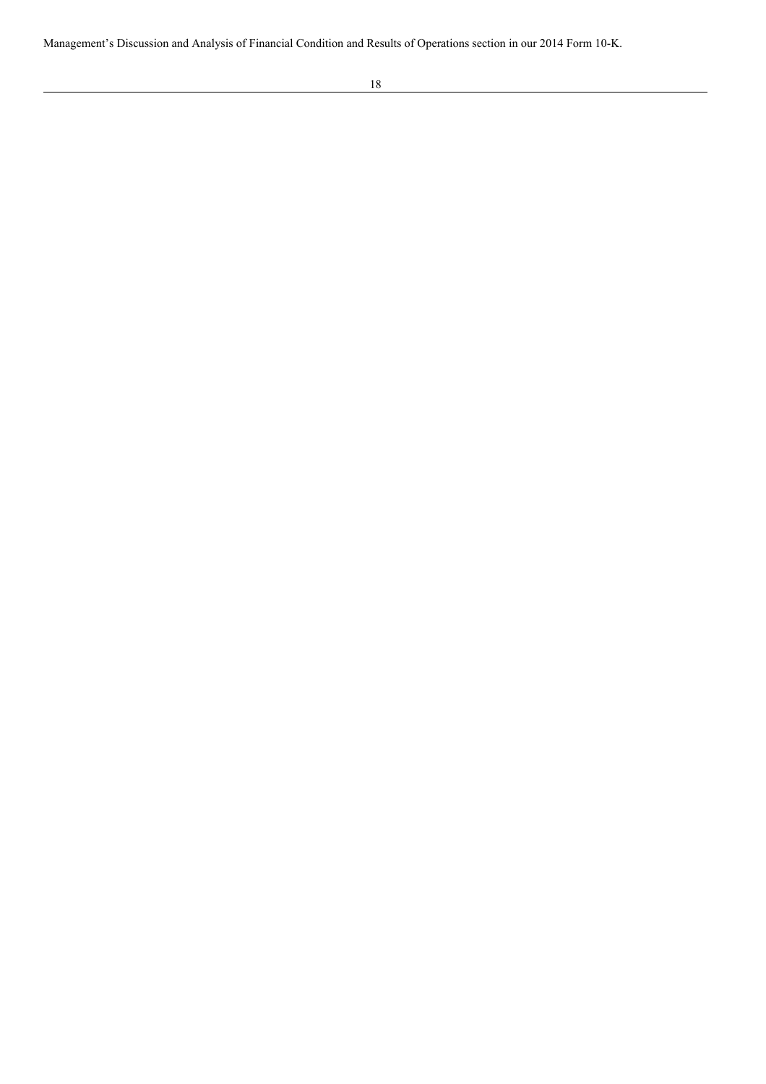Management's Discussion and Analysis of Financial Condition and Results of Operations section in our 2014 Form 10-K.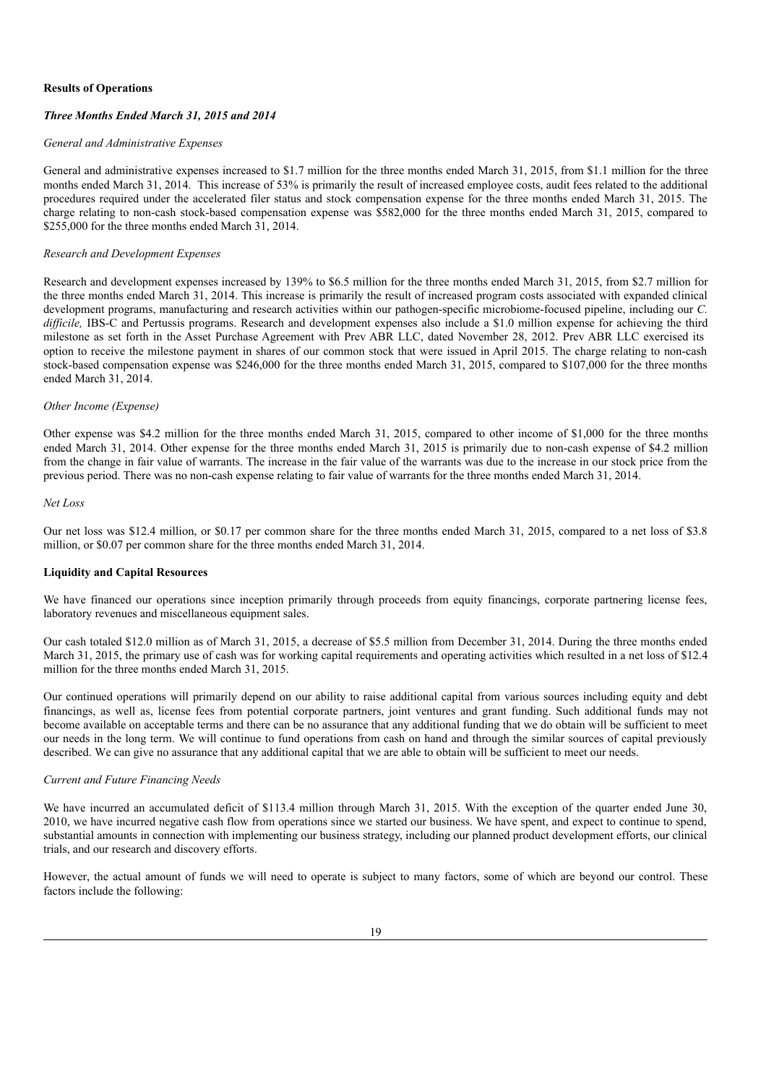### **Results of Operations**

# *Three Months Ended March 31, 2015 and 2014*

### *General and Administrative Expenses*

General and administrative expenses increased to \$1.7 million for the three months ended March 31, 2015, from \$1.1 million for the three months ended March 31, 2014. This increase of 53% is primarily the result of increased employee costs, audit fees related to the additional procedures required under the accelerated filer status and stock compensation expense for the three months ended March 31, 2015. The charge relating to non-cash stock-based compensation expense was \$582,000 for the three months ended March 31, 2015, compared to \$255,000 for the three months ended March 31, 2014.

### *Research and Development Expenses*

Research and development expenses increased by 139% to \$6.5 million for the three months ended March 31, 2015, from \$2.7 million for the three months ended March 31, 2014. This increase is primarily the result of increased program costs associated with expanded clinical development programs, manufacturing and research activities within our pathogen-specific microbiome-focused pipeline, including our *C. difficile*, IBS-C and Pertussis programs. Research and development expenses also include a \$1.0 million expense for achieving the third milestone as set forth in the Asset Purchase Agreement with Prev ABR LLC, dated November 28, 2012. Prev ABR LLC exercised its option to receive the milestone payment in shares of our common stock that were issued in April 2015. The charge relating to non-cash stock-based compensation expense was \$246,000 for the three months ended March 31, 2015, compared to \$107,000 for the three months ended March 31, 2014.

### *Other Income (Expense)*

Other expense was \$4.2 million for the three months ended March 31, 2015, compared to other income of \$1,000 for the three months ended March 31, 2014. Other expense for the three months ended March 31, 2015 is primarily due to non-cash expense of \$4.2 million from the change in fair value of warrants. The increase in the fair value of the warrants was due to the increase in our stock price from the previous period. There was no non-cash expense relating to fair value of warrants for the three months ended March 31, 2014.

#### *Net Loss*

Our net loss was \$12.4 million, or \$0.17 per common share for the three months ended March 31, 2015, compared to a net loss of \$3.8 million, or \$0.07 per common share for the three months ended March 31, 2014.

### **Liquidity and Capital Resources**

We have financed our operations since inception primarily through proceeds from equity financings, corporate partnering license fees, laboratory revenues and miscellaneous equipment sales.

Our cash totaled \$12.0 million as of March 31, 2015, a decrease of \$5.5 million from December 31, 2014. During the three months ended March 31, 2015, the primary use of cash was for working capital requirements and operating activities which resulted in a net loss of \$12.4 million for the three months ended March 31, 2015.

Our continued operations will primarily depend on our ability to raise additional capital from various sources including equity and debt financings, as well as, license fees from potential corporate partners, joint ventures and grant funding. Such additional funds may not become available on acceptable terms and there can be no assurance that any additional funding that we do obtain will be sufficient to meet our needs in the long term. We will continue to fund operations from cash on hand and through the similar sources of capital previously described. We can give no assurance that any additional capital that we are able to obtain will be sufficient to meet our needs.

#### *Current and Future Financing Needs*

We have incurred an accumulated deficit of \$113.4 million through March 31, 2015. With the exception of the quarter ended June 30, 2010, we have incurred negative cash flow from operations since we started our business. We have spent, and expect to continue to spend, substantial amounts in connection with implementing our business strategy, including our planned product development efforts, our clinical trials, and our research and discovery efforts.

However, the actual amount of funds we will need to operate is subject to many factors, some of which are beyond our control. These factors include the following: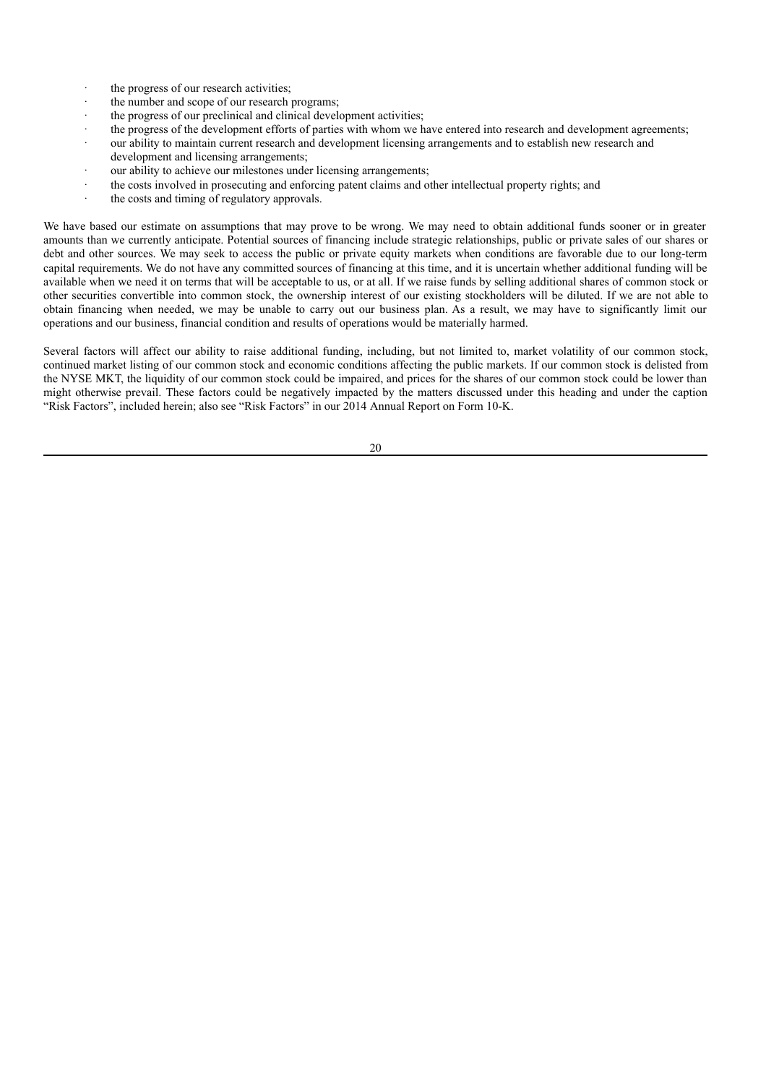- the progress of our research activities;
- the number and scope of our research programs;
- the progress of our preclinical and clinical development activities;
- the progress of the development efforts of parties with whom we have entered into research and development agreements;
- · our ability to maintain current research and development licensing arrangements and to establish new research and
- development and licensing arrangements;
- our ability to achieve our milestones under licensing arrangements;
- the costs involved in prosecuting and enforcing patent claims and other intellectual property rights; and
- the costs and timing of regulatory approvals.

We have based our estimate on assumptions that may prove to be wrong. We may need to obtain additional funds sooner or in greater amounts than we currently anticipate. Potential sources of financing include strategic relationships, public or private sales of our shares or debt and other sources. We may seek to access the public or private equity markets when conditions are favorable due to our long-term capital requirements. We do not have any committed sources of financing at this time, and it is uncertain whether additional funding will be available when we need it on terms that will be acceptable to us, or at all. If we raise funds by selling additional shares of common stock or other securities convertible into common stock, the ownership interest of our existing stockholders will be diluted. If we are not able to obtain financing when needed, we may be unable to carry out our business plan. As a result, we may have to significantly limit our operations and our business, financial condition and results of operations would be materially harmed.

Several factors will affect our ability to raise additional funding, including, but not limited to, market volatility of our common stock, continued market listing of our common stock and economic conditions affecting the public markets. If our common stock is delisted from the NYSE MKT, the liquidity of our common stock could be impaired, and prices for the shares of our common stock could be lower than might otherwise prevail. These factors could be negatively impacted by the matters discussed under this heading and under the caption "Risk Factors", included herein; also see "Risk Factors" in our 2014 Annual Report on Form 10-K.

20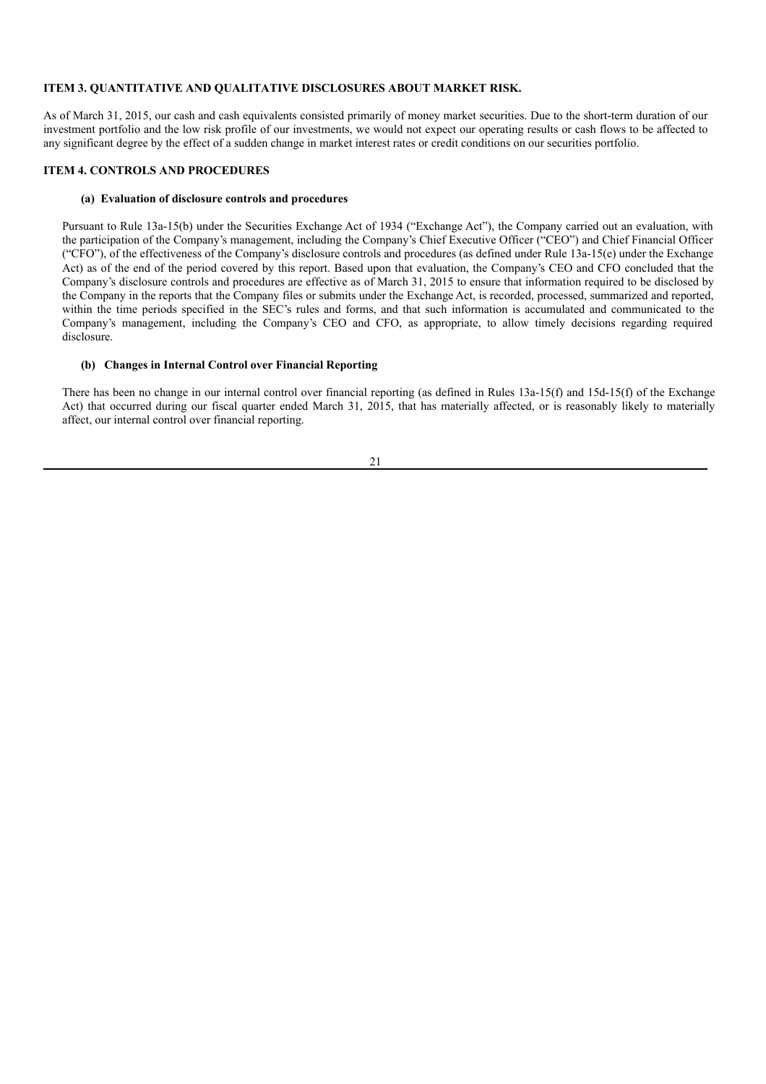### **ITEM 3. QUANTITATIVE AND QUALITATIVE DISCLOSURES ABOUT MARKET RISK.**

As of March 31, 2015, our cash and cash equivalents consisted primarily of money market securities. Due to the short-term duration of our investment portfolio and the low risk profile of our investments, we would not expect our operating results or cash flows to be affected to any significant degree by the effect of a sudden change in market interest rates or credit conditions on our securities portfolio.

# **ITEM 4. CONTROLS AND PROCEDURES**

#### **(a) Evaluation of disclosure controls and procedures**

Pursuant to Rule 13a-15(b) under the Securities Exchange Act of 1934 ("Exchange Act"), the Company carried out an evaluation, with the participation of the Company's management, including the Company's Chief Executive Officer ("CEO") and Chief Financial Officer ("CFO"), of the effectiveness of the Company's disclosure controls and procedures (as defined under Rule 13a-15(e) under the Exchange Act) as of the end of the period covered by this report. Based upon that evaluation, the Company's CEO and CFO concluded that the Company's disclosure controls and procedures are effective as of March 31, 2015 to ensure that information required to be disclosed by the Company in the reports that the Company files or submits under the Exchange Act, is recorded, processed, summarized and reported, within the time periods specified in the SEC's rules and forms, and that such information is accumulated and communicated to the Company's management, including the Company's CEO and CFO, as appropriate, to allow timely decisions regarding required disclosure.

#### **(b) Changes in Internal Control over Financial Reporting**

There has been no change in our internal control over financial reporting (as defined in Rules 13a-15(f) and 15d-15(f) of the Exchange Act) that occurred during our fiscal quarter ended March 31, 2015, that has materially affected, or is reasonably likely to materially affect, our internal control over financial reporting.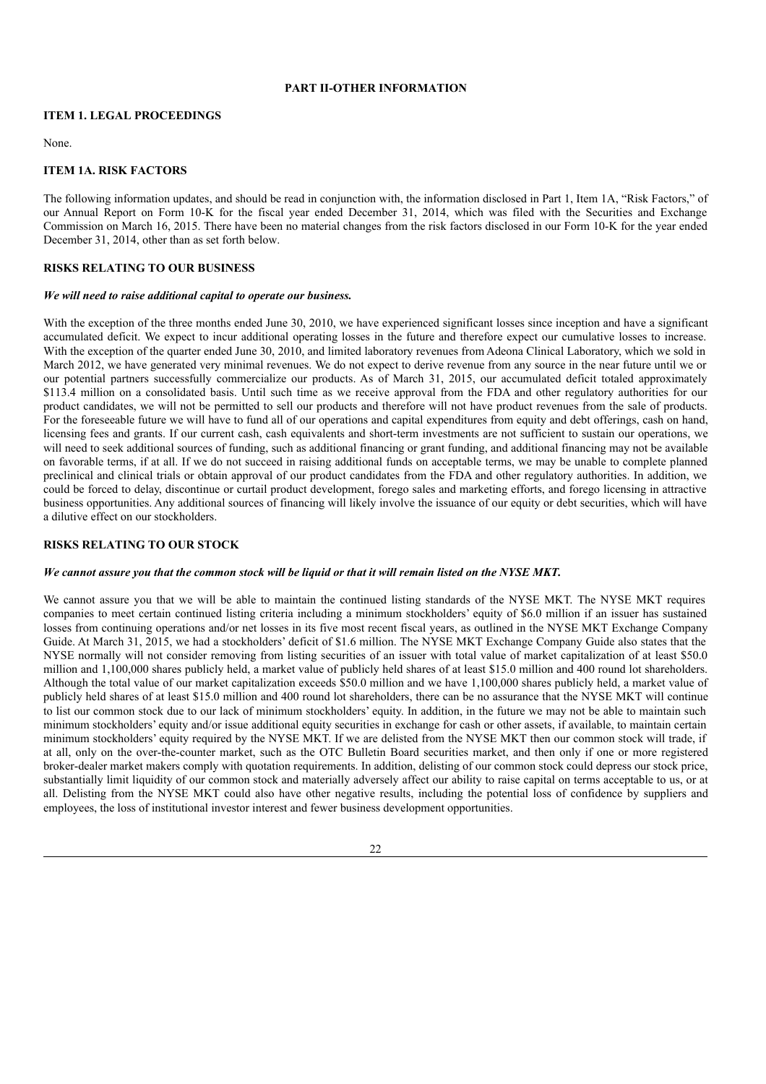#### **PART II-OTHER INFORMATION**

### **ITEM 1. LEGAL PROCEEDINGS**

None.

### **ITEM 1A. RISK FACTORS**

The following information updates, and should be read in conjunction with, the information disclosed in Part 1, Item 1A, "Risk Factors," of our Annual Report on Form 10-K for the fiscal year ended December 31, 2014, which was filed with the Securities and Exchange Commission on March 16, 2015. There have been no material changes from the risk factors disclosed in our Form 10-K for the year ended December 31, 2014, other than as set forth below.

### **RISKS RELATING TO OUR BUSINESS**

#### *We will need to raise additional capital to operate our business.*

With the exception of the three months ended June 30, 2010, we have experienced significant losses since inception and have a significant accumulated deficit. We expect to incur additional operating losses in the future and therefore expect our cumulative losses to increase. With the exception of the quarter ended June 30, 2010, and limited laboratory revenues from Adeona Clinical Laboratory, which we sold in March 2012, we have generated very minimal revenues. We do not expect to derive revenue from any source in the near future until we or our potential partners successfully commercialize our products. As of March 31, 2015, our accumulated deficit totaled approximately \$113.4 million on a consolidated basis. Until such time as we receive approval from the FDA and other regulatory authorities for our product candidates, we will not be permitted to sell our products and therefore will not have product revenues from the sale of products. For the foreseeable future we will have to fund all of our operations and capital expenditures from equity and debt offerings, cash on hand, licensing fees and grants. If our current cash, cash equivalents and short-term investments are not sufficient to sustain our operations, we will need to seek additional sources of funding, such as additional financing or grant funding, and additional financing may not be available on favorable terms, if at all. If we do not succeed in raising additional funds on acceptable terms, we may be unable to complete planned preclinical and clinical trials or obtain approval of our product candidates from the FDA and other regulatory authorities. In addition, we could be forced to delay, discontinue or curtail product development, forego sales and marketing efforts, and forego licensing in attractive business opportunities. Any additional sources of financing will likely involve the issuance of our equity or debt securities, which will have a dilutive effect on our stockholders.

# **RISKS RELATING TO OUR STOCK**

# We cannot assure you that the common stock will be liquid or that it will remain listed on the NYSE MKT.

We cannot assure you that we will be able to maintain the continued listing standards of the NYSE MKT. The NYSE MKT requires companies to meet certain continued listing criteria including a minimum stockholders' equity of \$6.0 million if an issuer has sustained losses from continuing operations and/or net losses in its five most recent fiscal years, as outlined in the NYSE MKT Exchange Company Guide. At March 31, 2015, we had a stockholders' deficit of \$1.6 million. The NYSE MKT Exchange Company Guide also states that the NYSE normally will not consider removing from listing securities of an issuer with total value of market capitalization of at least \$50.0 million and 1,100,000 shares publicly held, a market value of publicly held shares of at least \$15.0 million and 400 round lot shareholders. Although the total value of our market capitalization exceeds \$50.0 million and we have 1,100,000 shares publicly held, a market value of publicly held shares of at least \$15.0 million and 400 round lot shareholders, there can be no assurance that the NYSE MKT will continue to list our common stock due to our lack of minimum stockholders' equity. In addition, in the future we may not be able to maintain such minimum stockholders' equity and/or issue additional equity securities in exchange for cash or other assets, if available, to maintain certain minimum stockholders' equity required by the NYSE MKT. If we are delisted from the NYSE MKT then our common stock will trade, if at all, only on the over-the-counter market, such as the OTC Bulletin Board securities market, and then only if one or more registered broker-dealer market makers comply with quotation requirements. In addition, delisting of our common stock could depress our stock price, substantially limit liquidity of our common stock and materially adversely affect our ability to raise capital on terms acceptable to us, or at all. Delisting from the NYSE MKT could also have other negative results, including the potential loss of confidence by suppliers and employees, the loss of institutional investor interest and fewer business development opportunities.

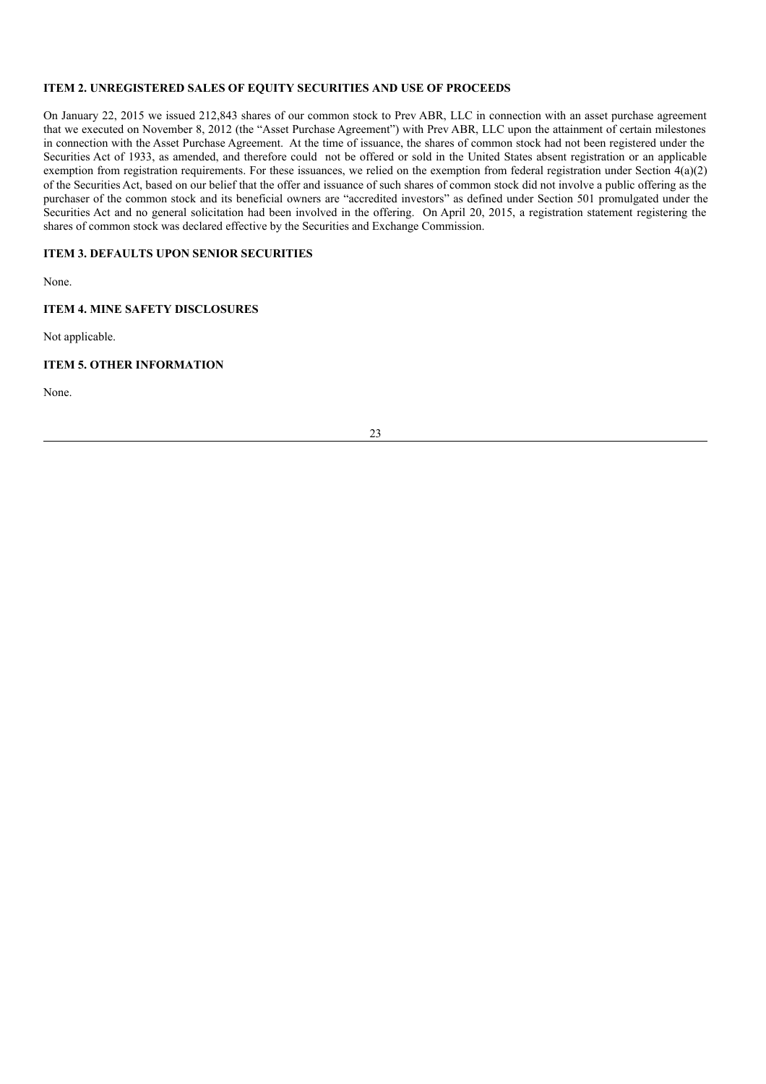# **ITEM 2. UNREGISTERED SALES OF EQUITY SECURITIES AND USE OF PROCEEDS**

On January 22, 2015 we issued 212,843 shares of our common stock to Prev ABR, LLC in connection with an asset purchase agreement that we executed on November 8, 2012 (the "Asset Purchase Agreement") with Prev ABR, LLC upon the attainment of certain milestones in connection with the Asset Purchase Agreement. At the time of issuance, the shares of common stock had not been registered under the Securities Act of 1933, as amended, and therefore could not be offered or sold in the United States absent registration or an applicable exemption from registration requirements. For these issuances, we relied on the exemption from federal registration under Section 4(a)(2) of the Securities Act, based on our belief that the offer and issuance of such shares of common stock did not involve a public offering as the purchaser of the common stock and its beneficial owners are "accredited investors" as defined under Section 501 promulgated under the Securities Act and no general solicitation had been involved in the offering. On April 20, 2015, a registration statement registering the shares of common stock was declared effective by the Securities and Exchange Commission.

# **ITEM 3. DEFAULTS UPON SENIOR SECURITIES**

None.

# **ITEM 4. MINE SAFETY DISCLOSURES**

Not applicable.

# **ITEM 5. OTHER INFORMATION**

None.

23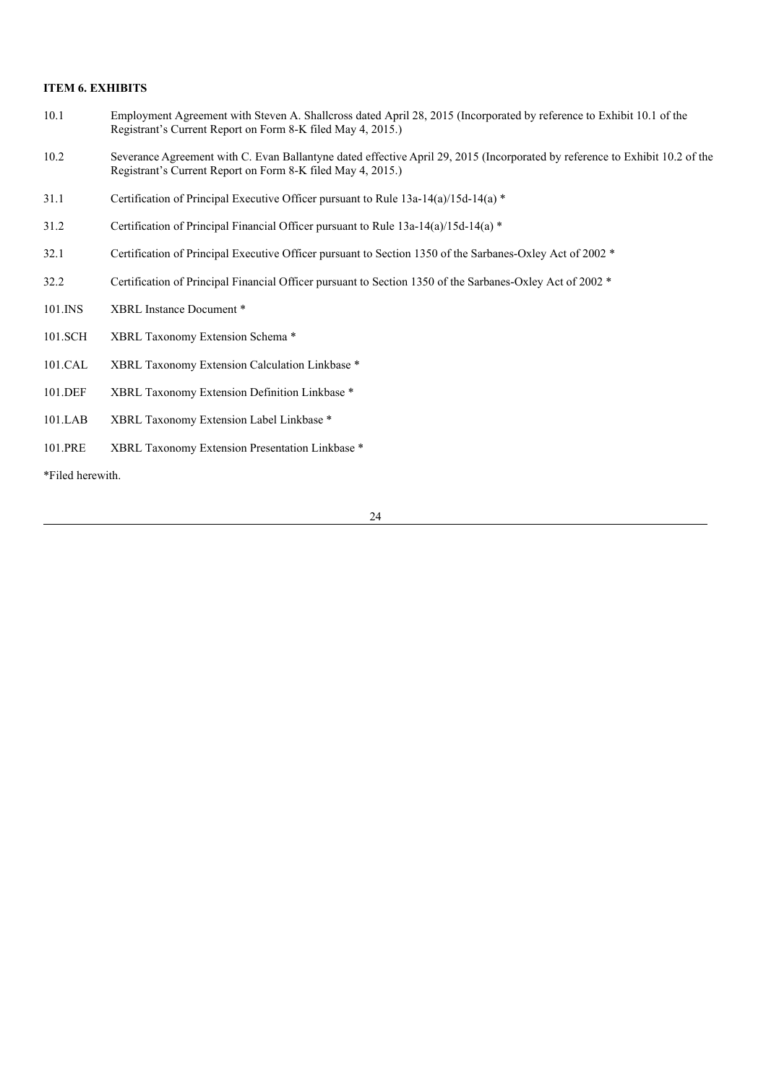# **ITEM 6. EXHIBITS**

- 10.1 Employment Agreement with Steven A. Shallcross dated April 28, 2015 (Incorporated by reference to Exhibit 10.1 of the Registrant's Current Report on Form 8-K filed May 4, 2015.)
- 10.2 Severance Agreement with C. Evan Ballantyne dated effective April 29, 2015 (Incorporated by reference to Exhibit 10.2 of the Registrant's Current Report on Form 8-K filed May 4, 2015.)
- 31.1 Certification of Principal Executive Officer pursuant to Rule 13a-14(a)/15d-14(a) \*
- 31.2 Certification of Principal Financial Officer pursuant to Rule 13a-14(a)/15d-14(a) \*
- 32.1 Certification of Principal Executive Officer pursuant to Section 1350 of the Sarbanes-Oxley Act of 2002 \*
- 32.2 Certification of Principal Financial Officer pursuant to Section 1350 of the Sarbanes-Oxley Act of 2002 \*
- 101.INS XBRL Instance Document \*
- 101.SCH XBRL Taxonomy Extension Schema \*
- 101.CAL XBRL Taxonomy Extension Calculation Linkbase \*
- 101.DEF XBRL Taxonomy Extension Definition Linkbase \*
- 101.LAB XBRL Taxonomy Extension Label Linkbase \*
- 101.PRE XBRL Taxonomy Extension Presentation Linkbase \*

\*Filed herewith.

24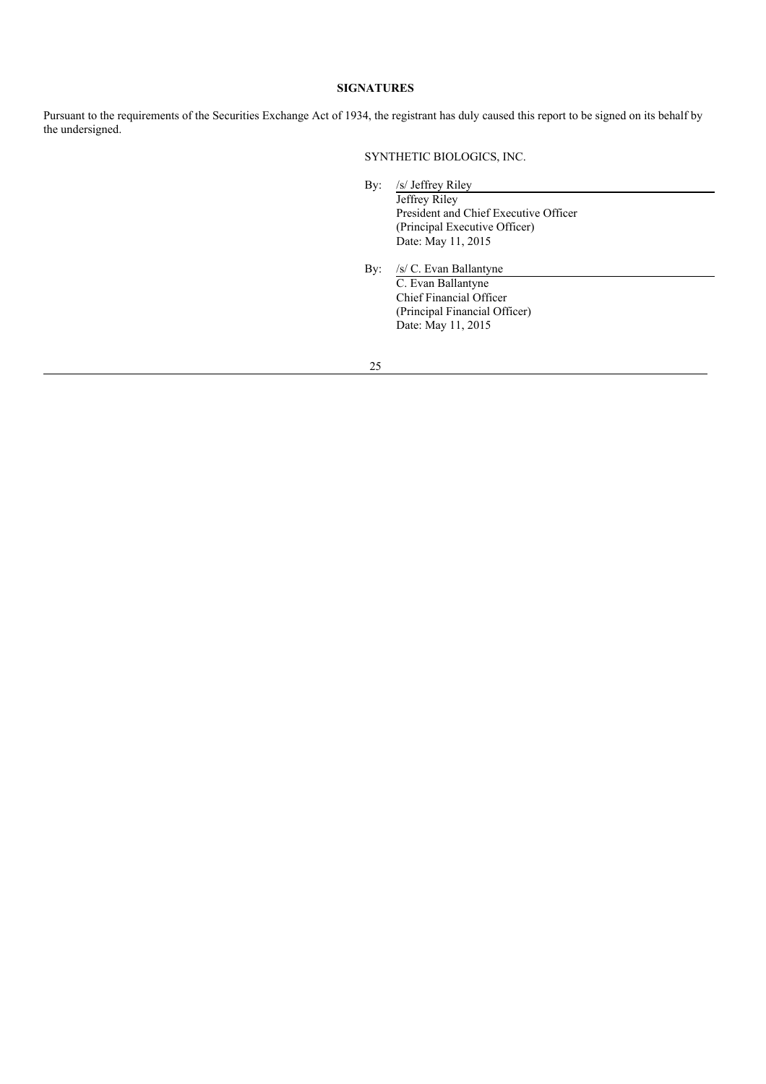# **SIGNATURES**

Pursuant to the requirements of the Securities Exchange Act of 1934, the registrant has duly caused this report to be signed on its behalf by the undersigned.

SYNTHETIC BIOLOGICS, INC.

By: /s/ Jeffrey Riley

Jeffrey Riley President and Chief Executive Officer (Principal Executive Officer) Date: May 11, 2015

By: /s/ C. Evan Ballantyne C. Evan Ballantyne Chief Financial Officer (Principal Financial Officer) Date: May 11, 2015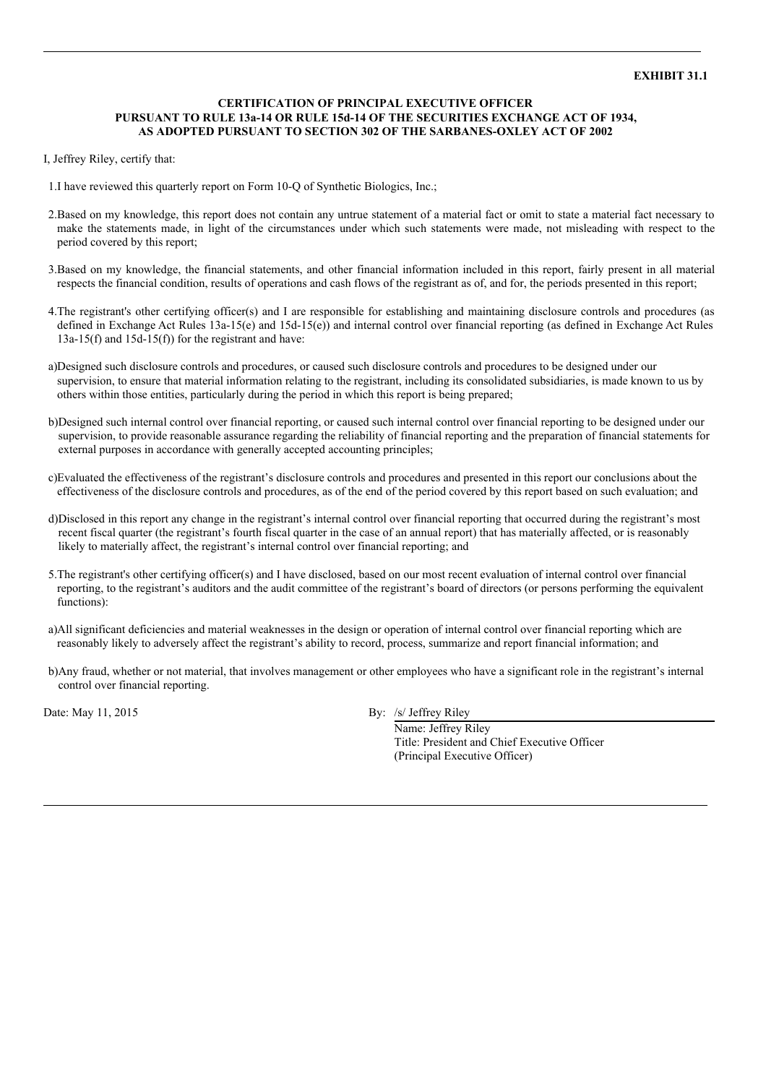### **CERTIFICATION OF PRINCIPAL EXECUTIVE OFFICER PURSUANT TO RULE 13a-14 OR RULE 15d-14 OF THE SECURITIES EXCHANGE ACT OF 1934, AS ADOPTED PURSUANT TO SECTION 302 OF THE SARBANES-OXLEY ACT OF 2002**

- I, Jeffrey Riley, certify that:
- 1.I have reviewed this quarterly report on Form 10-Q of Synthetic Biologics, Inc.;
- 2.Based on my knowledge, this report does not contain any untrue statement of a material fact or omit to state a material fact necessary to make the statements made, in light of the circumstances under which such statements were made, not misleading with respect to the period covered by this report;
- 3.Based on my knowledge, the financial statements, and other financial information included in this report, fairly present in all material respects the financial condition, results of operations and cash flows of the registrant as of, and for, the periods presented in this report;
- 4.The registrant's other certifying officer(s) and I are responsible for establishing and maintaining disclosure controls and procedures (as defined in Exchange Act Rules 13a-15(e) and 15d-15(e)) and internal control over financial reporting (as defined in Exchange Act Rules 13a-15(f) and 15d-15(f)) for the registrant and have:
- a)Designed such disclosure controls and procedures, or caused such disclosure controls and procedures to be designed under our supervision, to ensure that material information relating to the registrant, including its consolidated subsidiaries, is made known to us by others within those entities, particularly during the period in which this report is being prepared;
- b)Designed such internal control over financial reporting, or caused such internal control over financial reporting to be designed under our supervision, to provide reasonable assurance regarding the reliability of financial reporting and the preparation of financial statements for external purposes in accordance with generally accepted accounting principles;
- c)Evaluated the effectiveness of the registrant's disclosure controls and procedures and presented in this report our conclusions about the effectiveness of the disclosure controls and procedures, as of the end of the period covered by this report based on such evaluation; and
- d)Disclosed in this report any change in the registrant's internal control over financial reporting that occurred during the registrant's most recent fiscal quarter (the registrant's fourth fiscal quarter in the case of an annual report) that has materially affected, or is reasonably likely to materially affect, the registrant's internal control over financial reporting; and
- 5.The registrant's other certifying officer(s) and I have disclosed, based on our most recent evaluation of internal control over financial reporting, to the registrant's auditors and the audit committee of the registrant's board of directors (or persons performing the equivalent functions):
- a)All significant deficiencies and material weaknesses in the design or operation of internal control over financial reporting which are reasonably likely to adversely affect the registrant's ability to record, process, summarize and report financial information; and
- b)Any fraud, whether or not material, that involves management or other employees who have a significant role in the registrant's internal control over financial reporting.

Date: May 11, 2015 By: /s/ Jeffrey Riley

Name: Jeffrey Riley Title: President and Chief Executive Officer (Principal Executive Officer)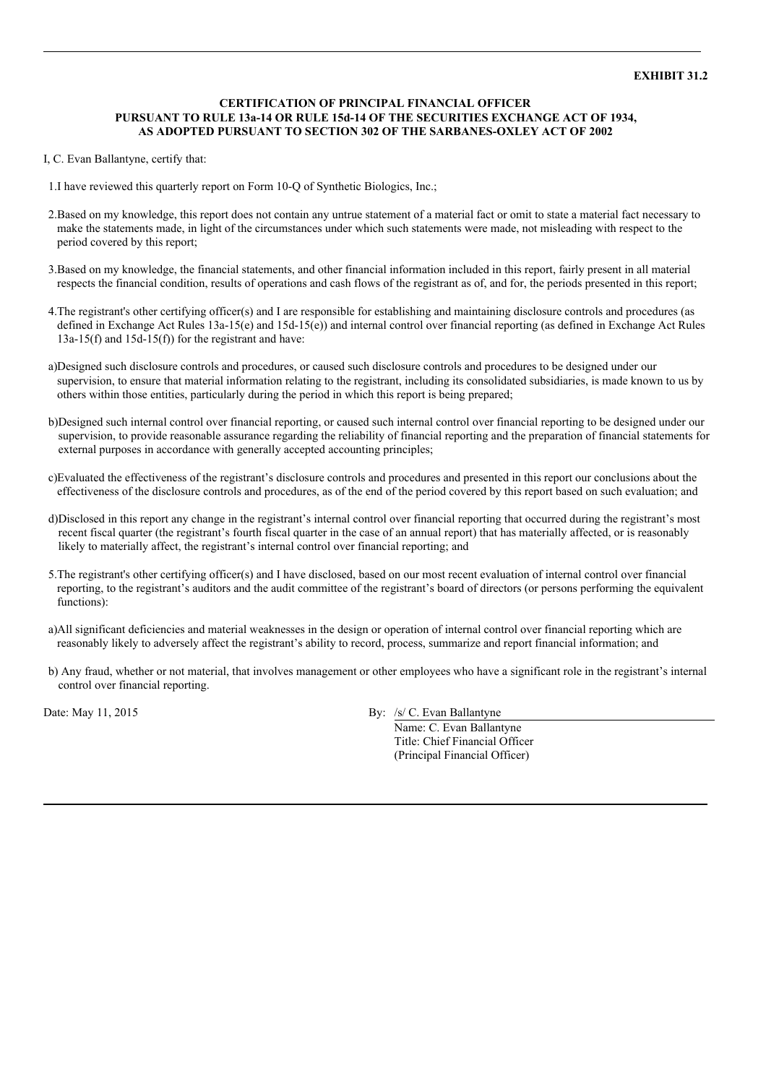### **CERTIFICATION OF PRINCIPAL FINANCIAL OFFICER PURSUANT TO RULE 13a-14 OR RULE 15d-14 OF THE SECURITIES EXCHANGE ACT OF 1934, AS ADOPTED PURSUANT TO SECTION 302 OF THE SARBANES-OXLEY ACT OF 2002**

- I, C. Evan Ballantyne, certify that:
- 1.I have reviewed this quarterly report on Form 10-Q of Synthetic Biologics, Inc.;
- 2.Based on my knowledge, this report does not contain any untrue statement of a material fact or omit to state a material fact necessary to make the statements made, in light of the circumstances under which such statements were made, not misleading with respect to the period covered by this report;
- 3.Based on my knowledge, the financial statements, and other financial information included in this report, fairly present in all material respects the financial condition, results of operations and cash flows of the registrant as of, and for, the periods presented in this report;
- 4.The registrant's other certifying officer(s) and I are responsible for establishing and maintaining disclosure controls and procedures (as defined in Exchange Act Rules 13a-15(e) and 15d-15(e)) and internal control over financial reporting (as defined in Exchange Act Rules 13a-15(f) and 15d-15(f)) for the registrant and have:
- a)Designed such disclosure controls and procedures, or caused such disclosure controls and procedures to be designed under our supervision, to ensure that material information relating to the registrant, including its consolidated subsidiaries, is made known to us by others within those entities, particularly during the period in which this report is being prepared;
- b)Designed such internal control over financial reporting, or caused such internal control over financial reporting to be designed under our supervision, to provide reasonable assurance regarding the reliability of financial reporting and the preparation of financial statements for external purposes in accordance with generally accepted accounting principles;
- c)Evaluated the effectiveness of the registrant's disclosure controls and procedures and presented in this report our conclusions about the effectiveness of the disclosure controls and procedures, as of the end of the period covered by this report based on such evaluation; and
- d)Disclosed in this report any change in the registrant's internal control over financial reporting that occurred during the registrant's most recent fiscal quarter (the registrant's fourth fiscal quarter in the case of an annual report) that has materially affected, or is reasonably likely to materially affect, the registrant's internal control over financial reporting; and
- 5.The registrant's other certifying officer(s) and I have disclosed, based on our most recent evaluation of internal control over financial reporting, to the registrant's auditors and the audit committee of the registrant's board of directors (or persons performing the equivalent functions):
- a)All significant deficiencies and material weaknesses in the design or operation of internal control over financial reporting which are reasonably likely to adversely affect the registrant's ability to record, process, summarize and report financial information; and
- b) Any fraud, whether or not material, that involves management or other employees who have a significant role in the registrant's internal control over financial reporting.

Date: May 11, 2015 By: /s/ C. Evan Ballantyne

Name: C. Evan Ballantyne Title: Chief Financial Officer (Principal Financial Officer)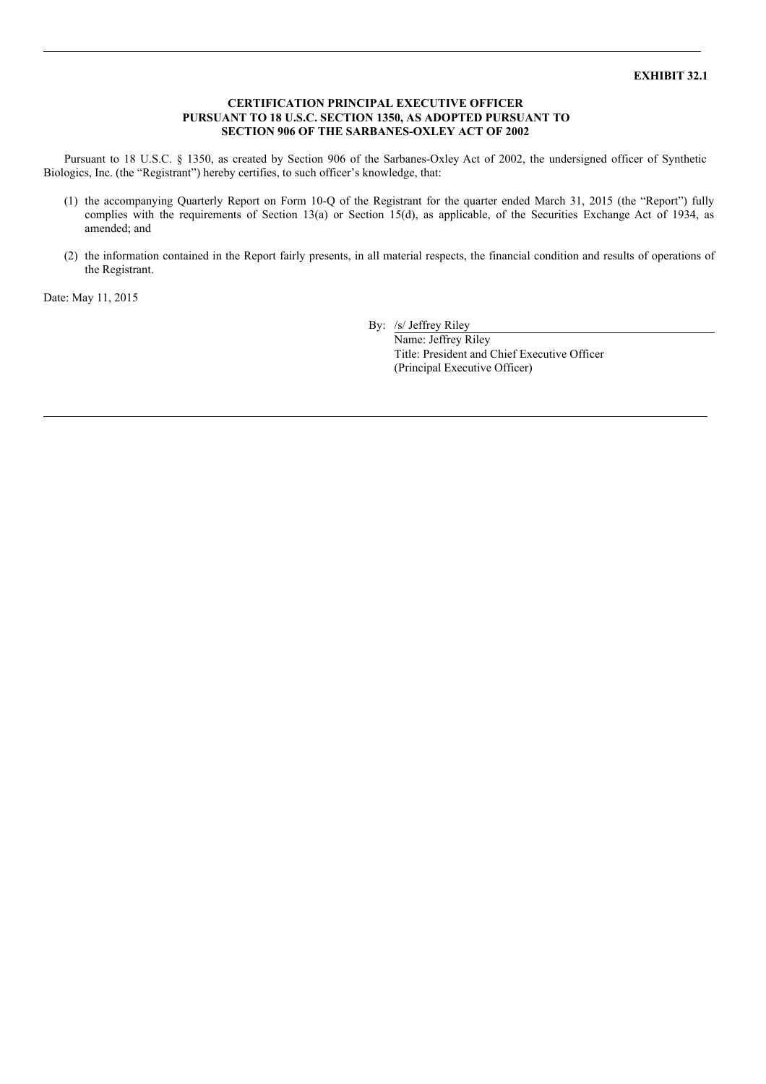### **CERTIFICATION PRINCIPAL EXECUTIVE OFFICER PURSUANT TO 18 U.S.C. SECTION 1350, AS ADOPTED PURSUANT TO SECTION 906 OF THE SARBANES-OXLEY ACT OF 2002**

Pursuant to 18 U.S.C. § 1350, as created by Section 906 of the Sarbanes-Oxley Act of 2002, the undersigned officer of Synthetic Biologics, Inc. (the "Registrant") hereby certifies, to such officer's knowledge, that:

- (1) the accompanying Quarterly Report on Form 10-Q of the Registrant for the quarter ended March 31, 2015 (the "Report") fully complies with the requirements of Section 13(a) or Section 15(d), as applicable, of the Securities Exchange Act of 1934, as amended; and
- (2) the information contained in the Report fairly presents, in all material respects, the financial condition and results of operations of the Registrant.

Date: May 11, 2015

By: /s/ Jeffrey Riley

Name: Jeffrey Riley Title: President and Chief Executive Officer (Principal Executive Officer)